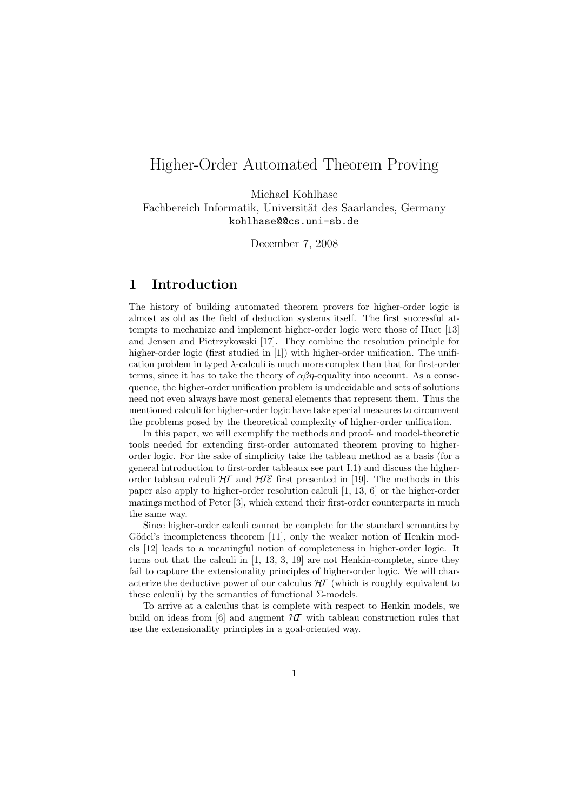# Higher-Order Automated Theorem Proving

Michael Kohlhase

Fachbereich Informatik, Universität des Saarlandes, Germany kohlhase@@cs.uni-sb.de

December 7, 2008

# 1 Introduction

The history of building automated theorem provers for higher-order logic is almost as old as the field of deduction systems itself. The first successful attempts to mechanize and implement higher-order logic were those of Huet [13] and Jensen and Pietrzykowski [17]. They combine the resolution principle for higher-order logic (first studied in [1]) with higher-order unification. The unification problem in typed λ-calculi is much more complex than that for first-order terms, since it has to take the theory of  $\alpha\beta\eta$ -equality into account. As a consequence, the higher-order unification problem is undecidable and sets of solutions need not even always have most general elements that represent them. Thus the mentioned calculi for higher-order logic have take special measures to circumvent the problems posed by the theoretical complexity of higher-order unification.

In this paper, we will exemplify the methods and proof- and model-theoretic tools needed for extending first-order automated theorem proving to higherorder logic. For the sake of simplicity take the tableau method as a basis (for a general introduction to first-order tableaux see part I.1) and discuss the higherorder tableau calculi  $H\mathcal{I}$  and  $H\mathcal{I}\mathcal{E}$  first presented in [19]. The methods in this paper also apply to higher-order resolution calculi [1, 13, 6] or the higher-order matings method of Peter [3], which extend their first-order counterparts in much the same way.

Since higher-order calculi cannot be complete for the standard semantics by Gödel's incompleteness theorem [11], only the weaker notion of Henkin models [12] leads to a meaningful notion of completeness in higher-order logic. It turns out that the calculi in [1, 13, 3, 19] are not Henkin-complete, since they fail to capture the extensionality principles of higher-order logic. We will characterize the deductive power of our calculus  $\mathcal{H}$  (which is roughly equivalent to these calculi) by the semantics of functional  $\Sigma$ -models.

To arrive at a calculus that is complete with respect to Henkin models, we build on ideas from [6] and augment  $H\mathcal{I}$  with tableau construction rules that use the extensionality principles in a goal-oriented way.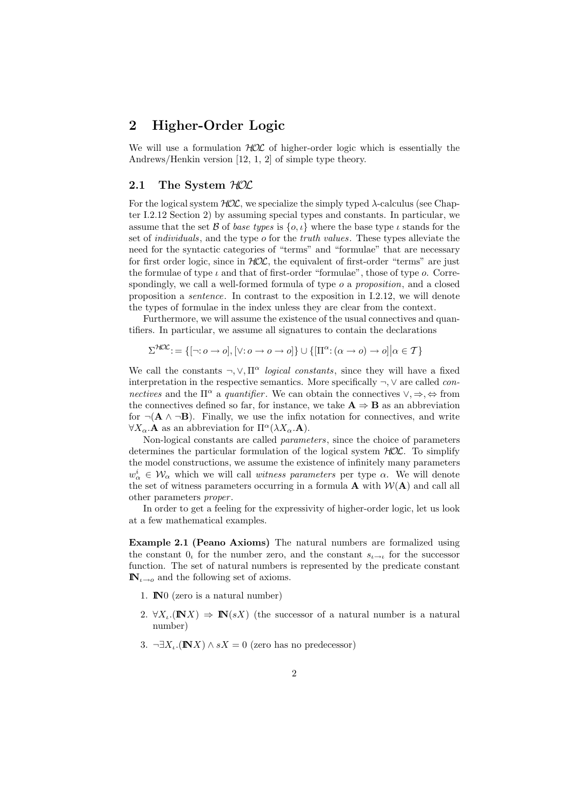# 2 Higher-Order Logic

We will use a formulation  $HOC$  of higher-order logic which is essentially the Andrews/Henkin version [12, 1, 2] of simple type theory.

#### 2.1 The System  $HOL$

For the logical system  $HOL$ , we specialize the simply typed  $\lambda$ -calculus (see Chapter I.2.12 Section 2) by assuming special types and constants. In particular, we assume that the set B of base types is  $\{o, \iota\}$  where the base type  $\iota$  stands for the set of individuals, and the type o for the truth values. These types alleviate the need for the syntactic categories of "terms" and "formulae" that are necessary for first order logic, since in  $HOL$ , the equivalent of first-order "terms" are just the formulae of type  $\iota$  and that of first-order "formulae", those of type  $o$ . Correspondingly, we call a well-formed formula of type  $o$  a *proposition*, and a closed proposition a sentence. In contrast to the exposition in I.2.12, we will denote the types of formulae in the index unless they are clear from the context.

Furthermore, we will assume the existence of the usual connectives and quantifiers. In particular, we assume all signatures to contain the declarations

 $\Sigma^{\text{HOL}}:=\{[\neg \text{: }o \to o],[\lor \text{: }o \to o \to o]\} \cup \{[\Pi^{\alpha} \text{: } (\alpha \to o) \to o] \big| \alpha \in \mathcal{T}\}$ 

We call the constants  $\neg, \vee, \Pi^{\alpha}$  logical constants, since they will have a fixed interpretation in the respective semantics. More specifically  $\neg$ ,  $\vee$  are called *con*nectives and the  $\Pi^{\alpha}$  a quantifier. We can obtain the connectives  $\vee, \Rightarrow, \Leftrightarrow$  from the connectives defined so far, for instance, we take  $A \Rightarrow B$  as an abbreviation for  $\neg(\mathbf{A} \wedge \neg \mathbf{B})$ . Finally, we use the infix notation for connectives, and write  $\forall X_{\alpha}.\mathbf{A}$  as an abbreviation for  $\Pi^{\alpha}(\lambda X_{\alpha}.\mathbf{A}).$ 

Non-logical constants are called parameters, since the choice of parameters determines the particular formulation of the logical system  $HOL$ . To simplify the model constructions, we assume the existence of infinitely many parameters  $w^i_\alpha \in \mathcal{W}_\alpha$  which we will call *witness parameters* per type  $\alpha$ . We will denote the set of witness parameters occurring in a formula  $\bf{A}$  with  $W(\bf{A})$  and call all other parameters proper .

In order to get a feeling for the expressivity of higher-order logic, let us look at a few mathematical examples.

Example 2.1 (Peano Axioms) The natural numbers are formalized using the constant 0, for the number zero, and the constant  $s_{i\rightarrow i}$  for the successor function. The set of natural numbers is represented by the predicate constant  $\mathbb{N}_{\iota\to 0}$  and the following set of axioms.

- 1. IN0 (zero is a natural number)
- 2.  $\forall X_i. (\mathbf{N}X) \Rightarrow \mathbf{N}(sX)$  (the successor of a natural number is a natural number)
- 3. ¬ $\exists X_i.$ ( $\mathbb{N}X$ )  $\wedge sX = 0$  (zero has no predecessor)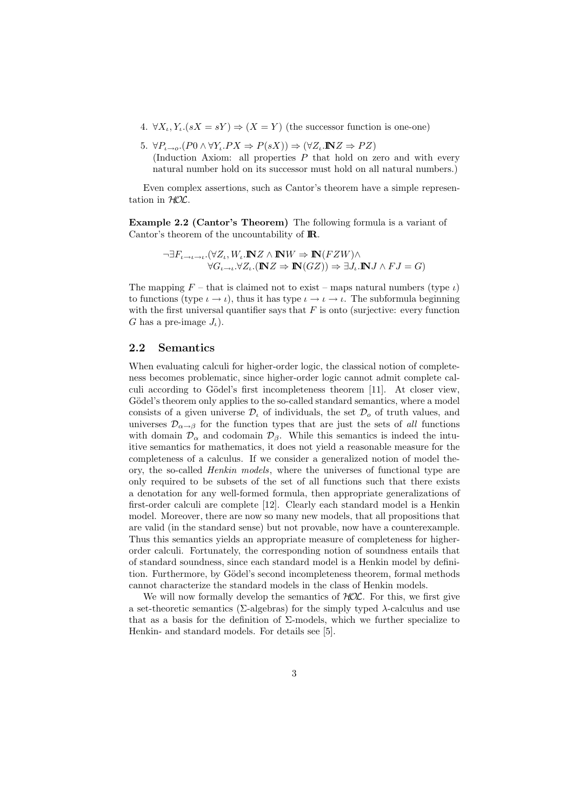- 4.  $\forall X_i, Y_i.(sX = sY) \Rightarrow (X = Y)$  (the successor function is one-one)
- 5.  $\forall P_{\cdot \rightarrow \circ} (P_0 \land \forall Y_{\cdot} P X \Rightarrow P(sX)) \Rightarrow (\forall Z \cdot \mathbb{N} Z \Rightarrow P Z)$ (Induction Axiom: all properties  $\overline{P}$  that hold on zero and with every natural number hold on its successor must hold on all natural numbers.)

Even complex assertions, such as Cantor's theorem have a simple representation in HOL.

Example 2.2 (Cantor's Theorem) The following formula is a variant of Cantor's theorem of the uncountability of **IR**.

$$
\neg \exists F_{\iota \to \iota \to \iota}.(\forall Z_\iota, W_\iota.\mathbb{N} Z \wedge \mathbb{N} W \Rightarrow \mathbb{N}(FZW) \wedge \\ \forall G_{\iota \to \iota}.\forall Z_\iota.(\mathbb{N} Z \Rightarrow \mathbb{N}(GZ)) \Rightarrow \exists J_\iota.\mathbb{N} J \wedge FJ = G)
$$

The mapping  $F$  – that is claimed not to exist – maps natural numbers (type  $\iota$ ) to functions (type  $\iota \to \iota$ ), thus it has type  $\iota \to \iota \to \iota$ . The subformula beginning with the first universal quantifier says that  $F$  is onto (surjective: every function G has a pre-image  $J_{\iota}$ ).

#### 2.2 Semantics

When evaluating calculi for higher-order logic, the classical notion of completeness becomes problematic, since higher-order logic cannot admit complete calculi according to Gödel's first incompleteness theorem [11]. At closer view, Gödel's theorem only applies to the so-called standard semantics, where a model consists of a given universe  $\mathcal{D}_{\iota}$  of individuals, the set  $\mathcal{D}_{o}$  of truth values, and universes  $\mathcal{D}_{\alpha \to \beta}$  for the function types that are just the sets of all functions with domain  $\mathcal{D}_{\alpha}$  and codomain  $\mathcal{D}_{\beta}$ . While this semantics is indeed the intuitive semantics for mathematics, it does not yield a reasonable measure for the completeness of a calculus. If we consider a generalized notion of model theory, the so-called Henkin models, where the universes of functional type are only required to be subsets of the set of all functions such that there exists a denotation for any well-formed formula, then appropriate generalizations of first-order calculi are complete [12]. Clearly each standard model is a Henkin model. Moreover, there are now so many new models, that all propositions that are valid (in the standard sense) but not provable, now have a counterexample. Thus this semantics yields an appropriate measure of completeness for higherorder calculi. Fortunately, the corresponding notion of soundness entails that of standard soundness, since each standard model is a Henkin model by definition. Furthermore, by Gödel's second incompleteness theorem, formal methods cannot characterize the standard models in the class of Henkin models.

We will now formally develop the semantics of  $HOL$ . For this, we first give a set-theoretic semantics ( $\Sigma$ -algebras) for the simply typed  $\lambda$ -calculus and use that as a basis for the definition of  $\Sigma$ -models, which we further specialize to Henkin- and standard models. For details see [5].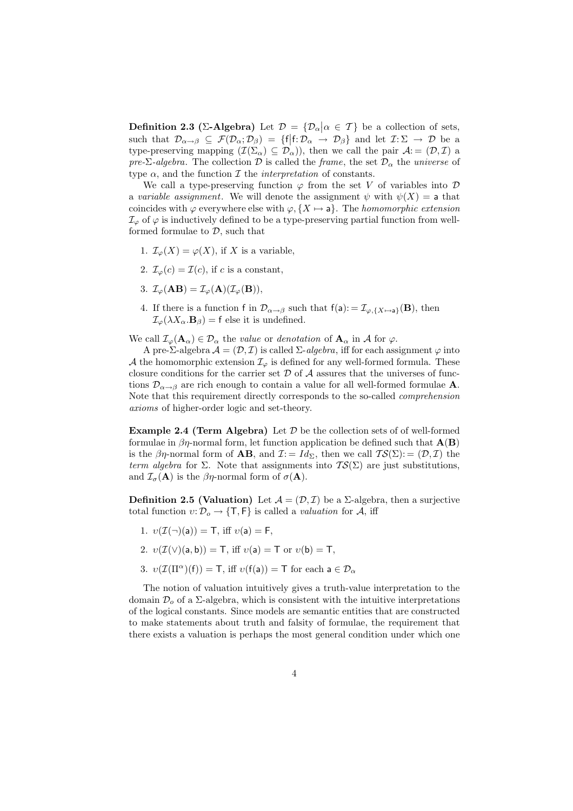**Definition 2.3 (Σ-Algebra)** Let  $\mathcal{D} = {\mathcal{D}_{\alpha} | \alpha \in \mathcal{T}}$  be a collection of sets, such that  $\mathcal{D}_{\alpha \to \beta} \subseteq \mathcal{F}(\mathcal{D}_{\alpha}; \mathcal{D}_{\beta}) = \{f | f : \mathcal{D}_{\alpha} \to \mathcal{D}_{\beta}\}\$ and let  $\mathcal{I}: \Sigma \to \mathcal{D}$  be a type-preserving mapping  $(\mathcal{I}(\Sigma_\alpha) \subseteq \mathcal{D}_\alpha)$ , then we call the pair  $\mathcal{A} = (\mathcal{D}, \mathcal{I})$  a pre-Σ-algebra. The collection D is called the frame, the set  $\mathcal{D}_{\alpha}$  the universe of type  $\alpha$ , and the function  $\mathcal I$  the *interpretation* of constants.

We call a type-preserving function  $\varphi$  from the set V of variables into  $\mathcal D$ a variable assignment. We will denote the assignment  $\psi$  with  $\psi(X) = a$  that coincides with  $\varphi$  everywhere else with  $\varphi$ ,  $\{X \mapsto a\}$ . The *homomorphic extension*  $\mathcal{I}_{\varphi}$  of  $\varphi$  is inductively defined to be a type-preserving partial function from wellformed formulae to  $D$ , such that

- 1.  $\mathcal{I}_{\varphi}(X) = \varphi(X)$ , if X is a variable,
- 2.  $\mathcal{I}_{\varphi}(c) = \mathcal{I}(c)$ , if c is a constant,
- 3.  $\mathcal{I}_{\varphi}(\mathbf{AB}) = \mathcal{I}_{\varphi}(\mathbf{A})(\mathcal{I}_{\varphi}(\mathbf{B})),$
- 4. If there is a function f in  $\mathcal{D}_{\alpha \to \beta}$  such that  $f(a) := \mathcal{I}_{\varphi, \{X \mapsto a\}}(B)$ , then  $\mathcal{I}_{\varphi}(\lambda X_{\alpha} \cdot \mathbf{B}_{\beta}) = \mathsf{f}$  else it is undefined.

We call  $\mathcal{I}_{\varphi}(\mathbf{A}_{\alpha}) \in \mathcal{D}_{\alpha}$  the value or denotation of  $\mathbf{A}_{\alpha}$  in A for  $\varphi$ .

A pre-Σ-algebra  $\mathcal{A} = (\mathcal{D}, \mathcal{I})$  is called  $\Sigma$ -algebra, iff for each assignment  $\varphi$  into A the homomorphic extension  $\mathcal{I}_{\varphi}$  is defined for any well-formed formula. These closure conditions for the carrier set  $D$  of  $A$  assures that the universes of functions  $\mathcal{D}_{\alpha\rightarrow\beta}$  are rich enough to contain a value for all well-formed formulae **A**. Note that this requirement directly corresponds to the so-called comprehension axioms of higher-order logic and set-theory.

Example 2.4 (Term Algebra) Let  $D$  be the collection sets of of well-formed formulae in  $\beta\eta$ -normal form, let function application be defined such that  $\mathbf{A}(\mathbf{B})$ is the  $\beta\eta$ -normal form of **AB**, and  $\mathcal{I}:=Id_{\Sigma}$ , then we call  $\mathcal{TS}(\Sigma):=(\mathcal{D},\mathcal{I})$  the term algebra for Σ. Note that assignments into  $TS(\Sigma)$  are just substitutions, and  $\mathcal{I}_{\sigma}(\mathbf{A})$  is the  $\beta\eta$ -normal form of  $\sigma(\mathbf{A})$ .

**Definition 2.5 (Valuation)** Let  $\mathcal{A} = (\mathcal{D}, \mathcal{I})$  be a  $\Sigma$ -algebra, then a surjective total function  $v: \mathcal{D}_o \to \{\mathsf{T}, \mathsf{F}\}\$ is called a valuation for A, iff

- 1.  $v(\mathcal{I}(\neg)(a)) = T$ , iff  $v(a) = F$ ,
- 2.  $v(\mathcal{I}(\vee)(a, b)) = T$ , iff  $v(a) = T$  or  $v(b) = T$ ,
- 3.  $v(\mathcal{I}(\Pi^{\alpha})(f)) = T$ , iff  $v(f(a)) = T$  for each  $a \in \mathcal{D}_{\alpha}$

The notion of valuation intuitively gives a truth-value interpretation to the domain  $\mathcal{D}_{\alpha}$  of a  $\Sigma$ -algebra, which is consistent with the intuitive interpretations of the logical constants. Since models are semantic entities that are constructed to make statements about truth and falsity of formulae, the requirement that there exists a valuation is perhaps the most general condition under which one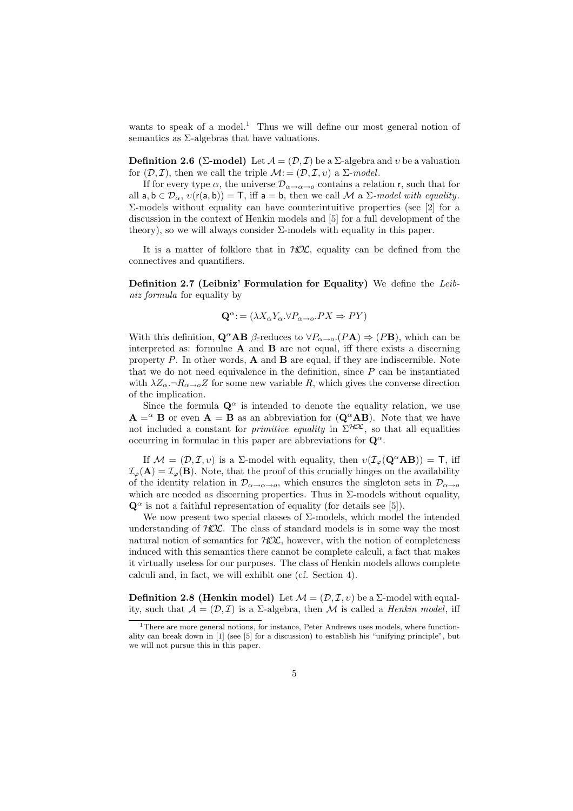wants to speak of a model.<sup>1</sup> Thus we will define our most general notion of semantics as Σ-algebras that have valuations.

**Definition 2.6 (Σ-model)** Let  $\mathcal{A} = (\mathcal{D}, \mathcal{I})$  be a  $\Sigma$ -algebra and v be a valuation for  $(D, \mathcal{I})$ , then we call the triple  $\mathcal{M} := (\mathcal{D}, \mathcal{I}, v)$  a  $\Sigma$ -model.

If for every type  $\alpha$ , the universe  $\mathcal{D}_{\alpha\to\alpha\to\alpha}$  contains a relation r, such that for all  $a, b \in \mathcal{D}_{\alpha}, v(r(a, b)) = T$ , iff  $a = b$ , then we call M a  $\Sigma$ -model with equality.  $Σ$ -models without equality can have counterintuitive properties (see [2] for a discussion in the context of Henkin models and [5] for a full development of the theory), so we will always consider  $\Sigma$ -models with equality in this paper.

It is a matter of folklore that in  $HOL$ , equality can be defined from the connectives and quantifiers.

Definition 2.7 (Leibniz' Formulation for Equality) We define the Leibniz formula for equality by

$$
\mathbf{Q}^{\alpha} := (\lambda X_{\alpha} Y_{\alpha} \forall P_{\alpha \to o}.PX \Rightarrow PY)
$$

With this definition,  $\mathbf{Q}^{\alpha} \mathbf{AB}$  β-reduces to  $\forall P_{\alpha \to \alpha}$ . (P**A**)  $\Rightarrow$  (P**B**), which can be interpreted as: formulae  $\bf{A}$  and  $\bf{B}$  are not equal, iff there exists a discerning property  $P$ . In other words,  $\bf{A}$  and  $\bf{B}$  are equal, if they are indiscernible. Note that we do not need equivalence in the definition, since  $P$  can be instantiated with  $\lambda Z_{\alpha}$ , $\neg R_{\alpha \to \alpha} Z$  for some new variable R, which gives the converse direction of the implication.

Since the formula  $\mathbf{Q}^{\alpha}$  is intended to denote the equality relation, we use  $\mathbf{A} = \alpha \mathbf{B}$  or even  $\mathbf{A} = \mathbf{B}$  as an abbreviation for  $(\mathbf{Q}^{\alpha} \mathbf{A} \mathbf{B})$ . Note that we have not included a constant for *primitive equality* in  $\Sigma$ <sup>HOL</sup>, so that all equalities occurring in formulae in this paper are abbreviations for  $\mathbf{Q}^{\alpha}$ .

If  $\mathcal{M} = (\mathcal{D}, \mathcal{I}, v)$  is a  $\Sigma$ -model with equality, then  $v(\mathcal{I}_{\varphi}(\mathbf{Q}^{\alpha} \mathbf{A} \mathbf{B})) = \mathbf{T}$ , iff  $\mathcal{I}_{\varphi}(\mathbf{A}) = \mathcal{I}_{\varphi}(\mathbf{B})$ . Note, that the proof of this crucially hinges on the availability of the identity relation in  $\mathcal{D}_{\alpha\to\alpha\to\alpha}$ , which ensures the singleton sets in  $\mathcal{D}_{\alpha\to\alpha}$ which are needed as discerning properties. Thus in  $\Sigma$ -models without equality,  $\mathbf{Q}^{\alpha}$  is not a faithful representation of equality (for details see [5]).

We now present two special classes of  $\Sigma$ -models, which model the intended understanding of  $HOL$ . The class of standard models is in some way the most natural notion of semantics for  $HOL$ , however, with the notion of completeness induced with this semantics there cannot be complete calculi, a fact that makes it virtually useless for our purposes. The class of Henkin models allows complete calculi and, in fact, we will exhibit one (cf. Section 4).

**Definition 2.8 (Henkin model)** Let  $\mathcal{M} = (\mathcal{D}, \mathcal{I}, v)$  be a  $\Sigma$ -model with equality, such that  $A = (\mathcal{D}, \mathcal{I})$  is a  $\Sigma$ -algebra, then M is called a *Henkin model*, iff

<sup>&</sup>lt;sup>1</sup>There are more general notions, for instance, Peter Andrews uses models, where functionality can break down in [1] (see [5] for a discussion) to establish his "unifying principle", but we will not pursue this in this paper.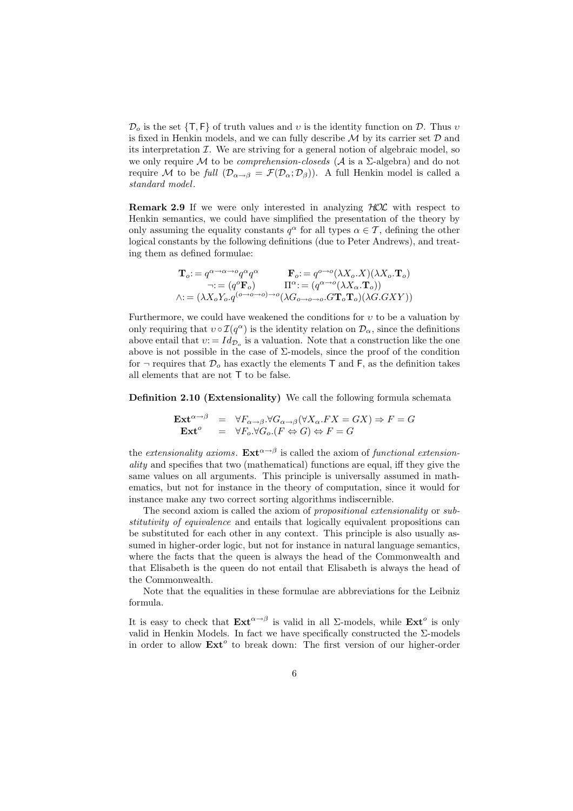$\mathcal{D}_o$  is the set  $\{\mathsf{T},\mathsf{F}\}\$  of truth values and v is the identity function on  $\mathcal{D}$ . Thus v is fixed in Henkin models, and we can fully describe  $\mathcal M$  by its carrier set  $\mathcal D$  and its interpretation  $\mathcal I$ . We are striving for a general notion of algebraic model, so we only require M to be *comprehension-closeds* ( $\mathcal A$  is a  $\Sigma$ -algebra) and do not require M to be full  $(\mathcal{D}_{\alpha \to \beta} = \mathcal{F}(\mathcal{D}_{\alpha}; \mathcal{D}_{\beta}))$ . A full Henkin model is called a standard model.

**Remark 2.9** If we were only interested in analyzing  $HOL$  with respect to Henkin semantics, we could have simplified the presentation of the theory by only assuming the equality constants  $q^{\alpha}$  for all types  $\alpha \in \mathcal{T}$ , defining the other logical constants by the following definitions (due to Peter Andrews), and treating them as defined formulae:

To: = q α→α→o q αq <sup>α</sup> Fo: = q o→o (λXo.X)(λXo.To) ¬: = (q <sup>o</sup>Fo) Π<sup>α</sup>: = (q α→o (λXα.To)) ∧: = (λXoYo.q(o→o→o)→<sup>o</sup> (λG<sup>o</sup>→o→<sup>o</sup>.GToTo)(λG.GXY ))

Furthermore, we could have weakened the conditions for  $v$  to be a valuation by only requiring that  $v \circ \mathcal{I}(q^{\alpha})$  is the identity relation on  $\mathcal{D}_{\alpha}$ , since the definitions above entail that  $v = Id_{\mathcal{D}_{o}}$  is a valuation. Note that a construction like the one above is not possible in the case of  $\Sigma$ -models, since the proof of the condition for  $\neg$  requires that  $\mathcal{D}_{o}$  has exactly the elements T and F, as the definition takes all elements that are not T to be false.

Definition 2.10 (Extensionality) We call the following formula schemata

$$
\begin{array}{rcl}\n\mathbf{Ext}^{\alpha \to \beta} & = & \forall F_{\alpha \to \beta} . \forall G_{\alpha \to \beta} (\forall X_{\alpha}. FX = GX) \Rightarrow F = G \\
\mathbf{Ext}^{\circ} & = & \forall F_{o} . \forall G_{o} . (F \Leftrightarrow G) \Leftrightarrow F = G\n\end{array}
$$

the extensionality axioms.  $\text{Ext}^{\alpha \to \beta}$  is called the axiom of functional extensionality and specifies that two (mathematical) functions are equal, iff they give the same values on all arguments. This principle is universally assumed in mathematics, but not for instance in the theory of computation, since it would for instance make any two correct sorting algorithms indiscernible.

The second axiom is called the axiom of propositional extensionality or substitutivity of equivalence and entails that logically equivalent propositions can be substituted for each other in any context. This principle is also usually assumed in higher-order logic, but not for instance in natural language semantics, where the facts that the queen is always the head of the Commonwealth and that Elisabeth is the queen do not entail that Elisabeth is always the head of the Commonwealth.

Note that the equalities in these formulae are abbreviations for the Leibniz formula.

It is easy to check that  $\mathbf{Ext}^{\alpha \to \beta}$  is valid in all  $\Sigma$ -models, while  $\mathbf{Ext}^o$  is only valid in Henkin Models. In fact we have specifically constructed the Σ-models in order to allow  $\text{Ext}^o$  to break down: The first version of our higher-order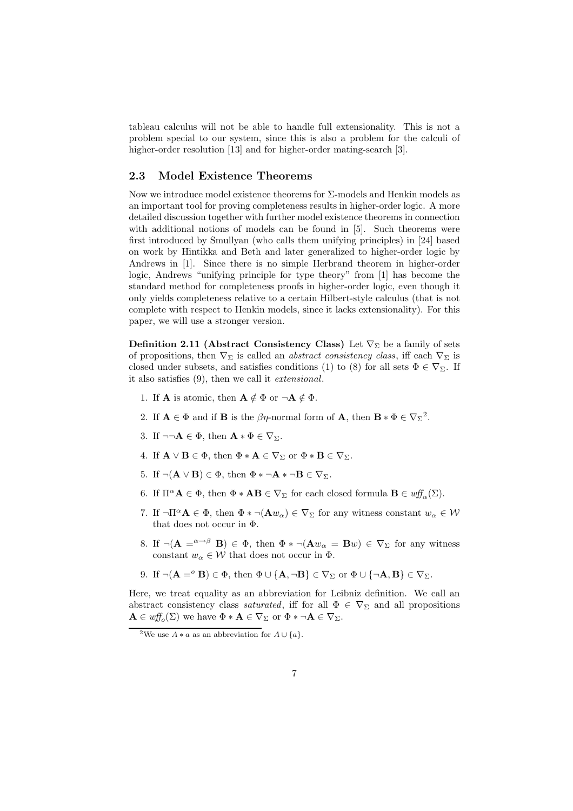tableau calculus will not be able to handle full extensionality. This is not a problem special to our system, since this is also a problem for the calculi of higher-order resolution [13] and for higher-order mating-search [3].

### 2.3 Model Existence Theorems

Now we introduce model existence theorems for  $\Sigma$ -models and Henkin models as an important tool for proving completeness results in higher-order logic. A more detailed discussion together with further model existence theorems in connection with additional notions of models can be found in [5]. Such theorems were first introduced by Smullyan (who calls them unifying principles) in [24] based on work by Hintikka and Beth and later generalized to higher-order logic by Andrews in [1]. Since there is no simple Herbrand theorem in higher-order logic, Andrews "unifying principle for type theory" from [1] has become the standard method for completeness proofs in higher-order logic, even though it only yields completeness relative to a certain Hilbert-style calculus (that is not complete with respect to Henkin models, since it lacks extensionality). For this paper, we will use a stronger version.

Definition 2.11 (Abstract Consistency Class) Let  $\nabla_{\Sigma}$  be a family of sets of propositions, then  $\nabla_{\Sigma}$  is called an *abstract consistency class*, iff each  $\nabla_{\Sigma}$  is closed under subsets, and satisfies conditions (1) to (8) for all sets  $\Phi \in \nabla_{\Sigma}$ . If it also satisfies (9), then we call it extensional.

- 1. If **A** is atomic, then  $\mathbf{A} \notin \Phi$  or  $\neg \mathbf{A} \notin \Phi$ .
- 2. If  $\mathbf{A} \in \Phi$  and if **B** is the  $\beta\eta$ -normal form of **A**, then  $\mathbf{B} * \Phi \in \nabla_{\Sigma}^2$ .
- 3. If  $\neg\neg \mathbf{A} \in \Phi$ , then  $\mathbf{A} * \Phi \in \nabla_{\Sigma}$ .
- 4. If  $\mathbf{A} \vee \mathbf{B} \in \Phi$ , then  $\Phi * \mathbf{A} \in \nabla_{\Sigma}$  or  $\Phi * \mathbf{B} \in \nabla_{\Sigma}$ .
- 5. If  $\neg(\mathbf{A} \vee \mathbf{B}) \in \Phi$ , then  $\Phi * \neg \mathbf{A} * \neg \mathbf{B} \in \nabla_{\Sigma}$ .
- 6. If  $\Pi^{\alpha} \mathbf{A} \in \Phi$ , then  $\Phi * \mathbf{A} \mathbf{B} \in \nabla_{\Sigma}$  for each closed formula  $\mathbf{B} \in \omega f_{\alpha}(\Sigma)$ .
- 7. If  $\neg \Pi^{\alpha} \mathbf{A} \in \Phi$ , then  $\Phi * \neg (\mathbf{A} w_{\alpha}) \in \nabla_{\Sigma}$  for any witness constant  $w_{\alpha} \in \mathcal{W}$ that does not occur in Φ.
- 8. If  $\neg(\mathbf{A} = \alpha \rightarrow \beta \mathbf{B}) \in \Phi$ , then  $\Phi * \neg(\mathbf{A} w_{\alpha} = \mathbf{B} w) \in \nabla_{\Sigma}$  for any witness constant  $w_{\alpha} \in \mathcal{W}$  that does not occur in  $\Phi$ .
- 9. If  $\neg(\mathbf{A} = \{^{\circ}\mathbf{B}\}) \in \Phi$ , then  $\Phi \cup {\{\mathbf{A}, \neg \mathbf{B}\}} \in \nabla_{\Sigma}$  or  $\Phi \cup {\{\neg \mathbf{A}, \mathbf{B}\}} \in \nabla_{\Sigma}$ .

Here, we treat equality as an abbreviation for Leibniz definition. We call an abstract consistency class *saturated*, iff for all  $\Phi \in \nabla_{\Sigma}$  and all propositions  $\mathbf{A} \in \mathit{wff}_{o}(\Sigma)$  we have  $\Phi * \mathbf{A} \in \nabla_{\Sigma}$  or  $\Phi * \neg \mathbf{A} \in \nabla_{\Sigma}$ .

<sup>&</sup>lt;sup>2</sup>We use  $A * a$  as an abbreviation for  $A \cup \{a\}$ .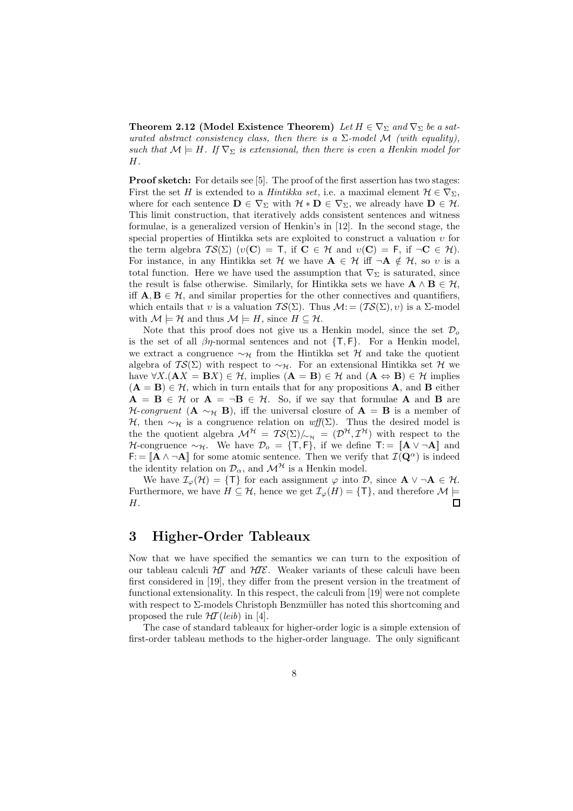Theorem 2.12 (Model Existence Theorem) Let  $H \in \nabla_{\Sigma}$  and  $\nabla_{\Sigma}$  be a saturated abstract consistency class, then there is a  $\Sigma$ -model M (with equality), such that  $\mathcal{M} \models H$ . If  $\nabla_{\Sigma}$  is extensional, then there is even a Henkin model for H.

**Proof sketch:** For details see [5]. The proof of the first assertion has two stages: First the set H is extended to a Hintikka set, i.e. a maximal element  $\mathcal{H} \in \nabla_{\Sigma}$ , where for each sentence  $\mathbf{D} \in \nabla_{\Sigma}$  with  $\mathcal{H} * \mathbf{D} \in \nabla_{\Sigma}$ , we already have  $\mathbf{D} \in \mathcal{H}$ . This limit construction, that iteratively adds consistent sentences and witness formulae, is a generalized version of Henkin's in [12]. In the second stage, the special properties of Hintikka sets are exploited to construct a valuation υ for the term algebra  $TS(\Sigma)$  ( $v(\mathbf{C}) = \mathbf{T}$ , if  $\mathbf{C} \in \mathcal{H}$  and  $v(\mathbf{C}) = \mathbf{F}$ , if  $\neg \mathbf{C} \in \mathcal{H}$ ). For instance, in any Hintikka set H we have  $A \in \mathcal{H}$  iff  $\neg A \notin \mathcal{H}$ , so v is a total function. Here we have used the assumption that  $\nabla_{\Sigma}$  is saturated, since the result is false otherwise. Similarly, for Hintikka sets we have  $\mathbf{A} \wedge \mathbf{B} \in \mathcal{H}$ , iff  $A, B \in \mathcal{H}$ , and similar properties for the other connectives and quantifiers, which entails that v is a valuation  $TS(\Sigma)$ . Thus  $\mathcal{M} := (TS(\Sigma), v)$  is a  $\Sigma$ -model with  $\mathcal{M} \models \mathcal{H}$  and thus  $\mathcal{M} \models H$ , since  $H \subseteq \mathcal{H}$ .

Note that this proof does not give us a Henkin model, since the set  $\mathcal{D}_o$ is the set of all  $\beta\eta$ -normal sentences and not  $\{\mathsf{T},\mathsf{F}\}\$ . For a Henkin model, we extract a congruence  $\sim_H$  from the Hintikka set H and take the quotient algebra of  $TS(\Sigma)$  with respect to ~ $\gamma$ . For an extensional Hintikka set H we have  $\forall X.(\mathbf{A}X = \mathbf{B}X) \in \mathcal{H}$ , implies  $(\mathbf{A} = \mathbf{B}) \in \mathcal{H}$  and  $(\mathbf{A} \Leftrightarrow \mathbf{B}) \in \mathcal{H}$  implies  $(A = B) \in H$ , which in turn entails that for any propositions A, and B either  $A = B \in \mathcal{H}$  or  $A = \neg B \in \mathcal{H}$ . So, if we say that formulae A and B are H-congruent (A  $\sim_H$  B), iff the universal closure of A = B is a member of H, then  $\sim_{\mathcal{H}}$  is a congruence relation on wff(Σ). Thus the desired model is the the quotient algebra  $\mathcal{M}^{\mathcal{H}} = \mathcal{TS}(\Sigma) /_{\sim_{\mathcal{H}}} = (\mathcal{D}^{\mathcal{H}}, \mathcal{I}^{\mathcal{H}})$  with respect to the H-congruence  $\sim_{\mathcal{H}}$ . We have  $\mathcal{D}_o = \{T, F\}$ , if we define  $T := \|\mathbf{A} \vee \neg \mathbf{A}\|$  and  $\mathsf{F} := [\mathbf{A} \wedge \neg \mathbf{A}]$  for some atomic sentence. Then we verify that  $\mathcal{I}(\mathbf{Q}^{\alpha})$  is indeed the identity relation on  $\mathcal{D}_{\alpha}$ , and  $\mathcal{M}^{\mathcal{H}}$  is a Henkin model.

We have  $\mathcal{I}_{\varphi}(\mathcal{H}) = \{T\}$  for each assignment  $\varphi$  into D, since  $\mathbf{A} \vee \neg \mathbf{A} \in \mathcal{H}$ . Furthermore, we have  $H \subseteq \mathcal{H}$ , hence we get  $\mathcal{I}_{\varphi}(H) = {\mathcal{T}}$ , and therefore  $\mathcal{M} \models$  $\Box$ H.

# 3 Higher-Order Tableaux

Now that we have specified the semantics we can turn to the exposition of our tableau calculi  $H\mathcal{I}$  and  $H\mathcal{I}\mathcal{E}$ . Weaker variants of these calculi have been first considered in [19], they differ from the present version in the treatment of functional extensionality. In this respect, the calculi from [19] were not complete with respect to  $\Sigma$ -models Christoph Benzmüller has noted this shortcoming and proposed the rule  $H\mathcal{T}(leib)$  in [4].

The case of standard tableaux for higher-order logic is a simple extension of first-order tableau methods to the higher-order language. The only significant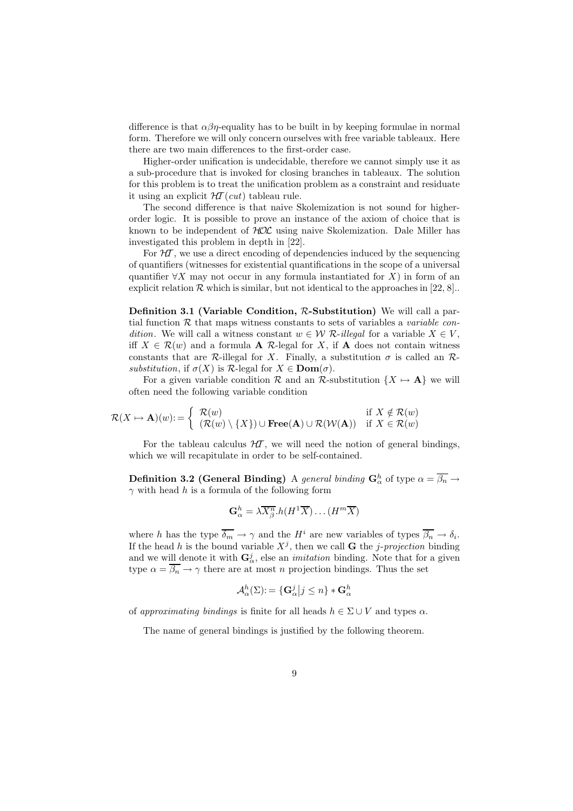difference is that  $\alpha\beta\eta$ -equality has to be built in by keeping formulae in normal form. Therefore we will only concern ourselves with free variable tableaux. Here there are two main differences to the first-order case.

Higher-order unification is undecidable, therefore we cannot simply use it as a sub-procedure that is invoked for closing branches in tableaux. The solution for this problem is to treat the unification problem as a constraint and residuate it using an explicit  $HT(cut)$  tableau rule.

The second difference is that naive Skolemization is not sound for higherorder logic. It is possible to prove an instance of the axiom of choice that is known to be independent of HOL using naive Skolemization. Dale Miller has investigated this problem in depth in [22].

For  $H\mathcal{T}$ , we use a direct encoding of dependencies induced by the sequencing of quantifiers (witnesses for existential quantifications in the scope of a universal quantifier  $\forall X$  may not occur in any formula instantiated for X) in form of an explicit relation  $\mathcal R$  which is similar, but not identical to the approaches in [22, 8]...

Definition 3.1 (Variable Condition, R-Substitution) We will call a partial function  $R$  that maps witness constants to sets of variables a *variable con*dition. We will call a witness constant  $w \in \mathcal{W}$  R-illegal for a variable  $X \in V$ . iff  $X \in \mathcal{R}(w)$  and a formula **A** R-legal for X, if **A** does not contain witness constants that are R-illegal for X. Finally, a substitution  $\sigma$  is called an Rsubstitution, if  $\sigma(X)$  is R-legal for  $X \in \text{Dom}(\sigma)$ .

For a given variable condition R and an R-substitution  $\{X \mapsto \mathbf{A}\}\$  we will often need the following variable condition

$$
\mathcal{R}(X \mapsto \mathbf{A})(w) := \left\{ \begin{array}{ll} \mathcal{R}(w) & \text{if } X \notin \mathcal{R}(w) \\ (\mathcal{R}(w) \setminus \{X\}) \cup \mathbf{Free}(\mathbf{A}) \cup \mathcal{R}(\mathcal{W}(\mathbf{A})) & \text{if } X \in \mathcal{R}(w) \end{array} \right.
$$

For the tableau calculus  $H\mathcal{T}$ , we will need the notion of general bindings, which we will recapitulate in order to be self-contained.

Definition 3.2 (General Binding) A general binding  $G^h_\alpha$  of type  $\alpha = \overline{\beta_n} \rightarrow$  $\gamma$  with head h is a formula of the following form

$$
\mathbf{G}_{\alpha}^{h} = \lambda \overline{X_{\beta}^{n}}. h(H^{1}\overline{X}) \dots (H^{m}\overline{X})
$$

where h has the type  $\overline{\delta_m} \to \gamma$  and the  $H^i$  are new variables of types  $\overline{\beta_n} \to \delta_i$ . If the head h is the bound variable  $X^j$ , then we call **G** the *j*-projection binding and we will denote it with  $G^j_\alpha$ , else an *imitation* binding. Note that for a given type  $\alpha = \overline{\beta_n} \to \gamma$  there are at most n projection bindings. Thus the set

$$
\mathcal{A}_{\alpha}^{h}(\Sigma) := \{ \mathbf{G}_{\alpha}^{j} \big| j \leq n \} * \mathbf{G}_{\alpha}^{h}
$$

of approximating bindings is finite for all heads  $h \in \Sigma \cup V$  and types  $\alpha$ .

The name of general bindings is justified by the following theorem.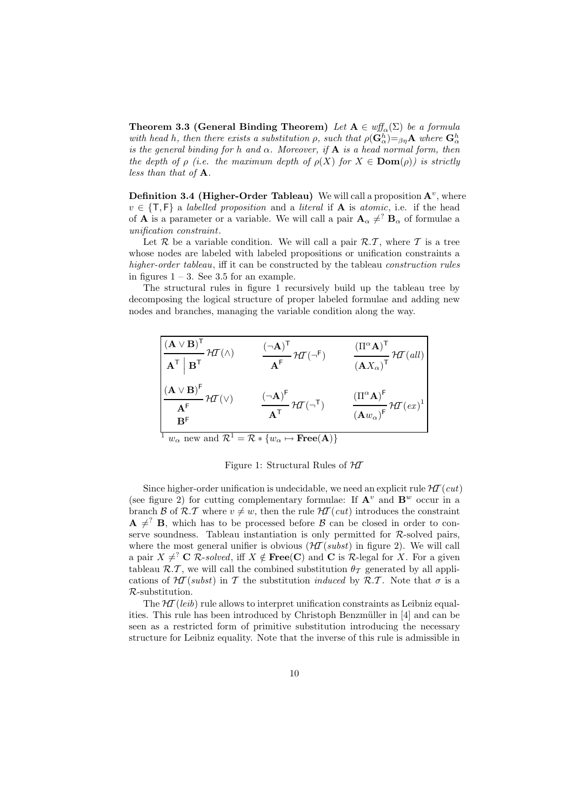**Theorem 3.3 (General Binding Theorem)** Let  $A \in \text{wff}_{\alpha}(\Sigma)$  be a formula with head h, then there exists a substitution  $\rho$ , such that  $\rho(\mathbf{G}_{\alpha}^{h}) = \beta \eta \mathbf{A}$  where  $\mathbf{G}_{\alpha}^{h}$ is the general binding for h and  $\alpha$ . Moreover, if **A** is a head normal form, then the depth of  $\rho$  (i.e. the maximum depth of  $\rho(X)$  for  $X \in \text{Dom}(\rho)$ ) is strictly less than that of A.

**Definition 3.4 (Higher-Order Tableau)** We will call a proposition  $A^v$ , where  $v \in \{\mathsf{T},\mathsf{F}\}\$ a labelled proposition and a literal if **A** is atomic, i.e. if the head of **A** is a parameter or a variable. We will call a pair  $\mathbf{A}_{\alpha} \neq^? \mathbf{B}_{\alpha}$  of formulae a unification constraint.

Let  $\mathcal R$  be a variable condition. We will call a pair  $\mathcal R.\mathcal T$ , where  $\mathcal T$  is a tree whose nodes are labeled with labeled propositions or unification constraints a higher-order tableau, iff it can be constructed by the tableau *construction rules* in figures  $1 - 3$ . See 3.5 for an example.

The structural rules in figure 1 recursively build up the tableau tree by decomposing the logical structure of proper labeled formulae and adding new nodes and branches, managing the variable condition along the way.

| $\frac{(\mathbf{A} \vee \mathbf{B})^{\mathsf{T}}}{\mathbf{A}^{\mathsf{T}} \mathbf{\ }\mathbf{B}^{\mathsf{T}}} \mathcal{H}\mathcal{I}(\wedge)$                                                                                                                           | $\frac{(\neg A)^{\mathsf{T}}}{A^{\mathsf{F}}} \mathcal{H} \mathcal{T} (\neg^{\mathsf{F}})$          | $\frac{\left(\Pi^{\alpha} \mathbf{A}\right)^{\mathsf{T}}}{\left(\mathbf{A} X_{\alpha}\right)^{\mathsf{T}}} \mathcal{H} \mathcal{T}(\textit{all})$ |
|-------------------------------------------------------------------------------------------------------------------------------------------------------------------------------------------------------------------------------------------------------------------------|-----------------------------------------------------------------------------------------------------|---------------------------------------------------------------------------------------------------------------------------------------------------|
| $\frac{\left(\mathbf{A}\vee\mathbf{B}\right)^{\text{F}}}{\mathbf{A}^{\text{F}}}\mathcal{H}\mathcal{I}\left(\vee\right)$<br>B <sup>F</sup>                                                                                                                               | $\frac{\left(\neg A\right)^{\mathsf{F}}}{A^{\mathsf{T}}} \mathcal{H}\mathcal{I}(\neg^{\mathsf{T}})$ | $\frac{\left(\Pi^{\alpha} \mathbf{A}\right)^{\mathsf{F}}}{\left(\mathbf{A} w_{\alpha}\right)^{\mathsf{F}}} \mathcal{H} \mathcal{T}(e x)^{1}$      |
| $\sim$ 1.40 $\sim$ 1.40 $\sim$ 1.40 $\sim$ 1.40 $\sim$ 1.40 $\sim$ 1.40 $\sim$ 1.40 $\sim$ 1.40 $\sim$ 1.40 $\sim$ 1.40 $\sim$ 1.40 $\sim$ 1.40 $\sim$ 1.40 $\sim$ 1.40 $\sim$ 1.40 $\sim$ 1.40 $\sim$ 1.40 $\sim$ 1.40 $\sim$ 1.40 $\sim$ 1.40 $\sim$ 1.40 $\sim$ 1.40 | $\pi$ f $\pi$ (A)                                                                                   |                                                                                                                                                   |

 $w_{\alpha}$  new and  $\mathcal{R}^1 = \mathcal{R} * \{w_{\alpha} \mapsto \textbf{Free}(A)\}\$ 

Figure 1: Structural Rules of  $H\hspace{-0.1cm}T$ 

Since higher-order unification is undecidable, we need an explicit rule  $H\mathcal{I}(cut)$ (see figure 2) for cutting complementary formulae: If  $\mathbf{A}^v$  and  $\mathbf{B}^w$  occur in a branch B of R.T where  $v \neq w$ , then the rule  $H\mathcal{T}(cut)$  introduces the constraint  $\mathbf{A} \neq^? \mathbf{B}$ , which has to be processed before  $\beta$  can be closed in order to conserve soundness. Tableau instantiation is only permitted for  $R$ -solved pairs, where the most general unifier is obvious  $(\mathcal{H}(\mathcal{I}(subst))$  in figure 2). We will call a pair  $X \neq^? C$  R-solved, iff  $X \notin \text{Free}(C)$  and C is R-legal for X. For a given tableau  $\mathcal{R}.\mathcal{T}$ , we will call the combined substitution  $\theta_{\mathcal{T}}$  generated by all applications of  $H\mathcal{I}(subst)$  in T the substitution induced by R.T. Note that  $\sigma$  is a R-substitution.

The  $H\mathcal{T}(leib)$  rule allows to interpret unification constraints as Leibniz equalities. This rule has been introduced by Christoph Benzmüller in [4] and can be seen as a restricted form of primitive substitution introducing the necessary structure for Leibniz equality. Note that the inverse of this rule is admissible in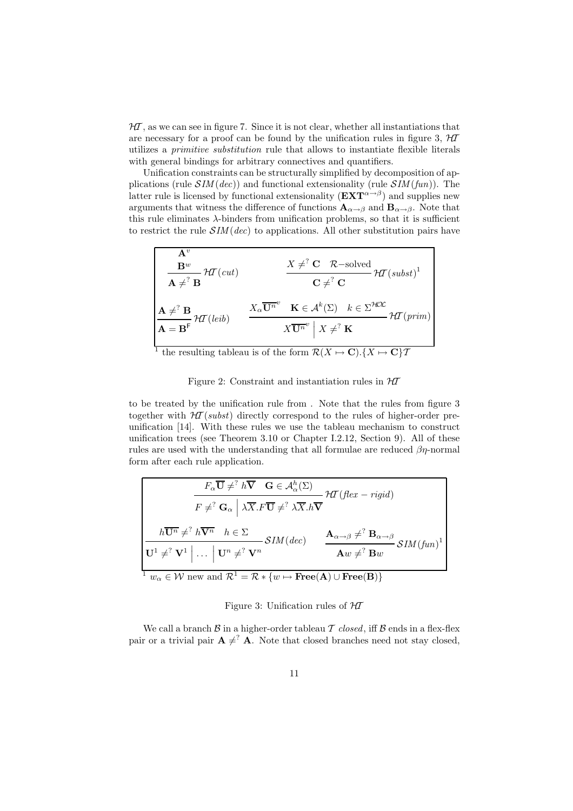$H\!\!\mathcal{I}$ , as we can see in figure 7. Since it is not clear, whether all instantiations that are necessary for a proof can be found by the unification rules in figure 3,  $H\!I$ utilizes a primitive substitution rule that allows to instantiate flexible literals with general bindings for arbitrary connectives and quantifiers.

Unification constraints can be structurally simplified by decomposition of applications (rule  $SIM(dec)$ ) and functional extensionality (rule  $SIM(fun)$ ). The latter rule is licensed by functional extensionality  $(EXT^{\alpha \rightarrow \beta})$  and supplies new arguments that witness the difference of functions  $\mathbf{A}_{\alpha \to \beta}$  and  $\mathbf{B}_{\alpha \to \beta}$ . Note that this rule eliminates  $\lambda$ -binders from unification problems, so that it is sufficient to restrict the rule  $\mathcal{S}IM(dec)$  to applications. All other substitution pairs have

$$
\mathbf{A}^v = \begin{bmatrix} \mathbf{A}^v & \mathbf{B}^w \\ \mathbf{B}^w & \mathcal{H}^T(cut) & \mathbf{X} \neq^? \mathbf{C} & \mathcal{R}\text{-solved} \\ \mathbf{A} \neq^? \mathbf{B} & \mathbf{C} \neq^? \mathbf{C} \end{bmatrix}
$$

$$
\mathbf{A} \neq^? \mathbf{B}
$$

$$
\mathbf{A} = \mathbf{B}^{\mathsf{F}} \mathcal{H}^T(\text{leib}) \qquad \frac{X_\alpha \overline{\mathbf{U}^n}^v & \mathbf{K} \in \mathcal{A}^k(\Sigma) & k \in \Sigma^{\mathcal{HOL}}}{X \overline{\mathbf{U}^n}^v \mid X \neq^? \mathbf{K}} \mathcal{H}^T(\text{prim})
$$

the resulting tableau is of the form  $\mathcal{R}(X \mapsto \mathbf{C})\cdot \{X \mapsto \mathbf{C}\}\mathcal{T}$ 

Figure 2: Constraint and instantiation rules in  $H\mathcal{I}$ 

to be treated by the unification rule from . Note that the rules from figure 3 together with  $H\mathcal{T}(subst)$  directly correspond to the rules of higher-order preunification [14]. With these rules we use the tableau mechanism to construct unification trees (see Theorem 3.10 or Chapter I.2.12, Section 9). All of these rules are used with the understanding that all formulae are reduced  $\beta\eta$ -normal form after each rule application.

$$
F_{\alpha}\overline{\mathbf{U}} \neq^? h \overline{\mathbf{V}} \quad \mathbf{G} \in \mathcal{A}_{\alpha}^h(\Sigma)
$$
\n
$$
F \neq^? \mathbf{G}_{\alpha} \mid \lambda \overline{X}. F \overline{\mathbf{U}} \neq^? \lambda \overline{X}. h \overline{\mathbf{V}}
$$
\n
$$
h \overline{\mathbf{U}^n} \neq^? h \overline{\mathbf{V}^n} \quad h \in \Sigma
$$
\n
$$
J \mathbf{U}^1 \neq^? \mathbf{V}^1 \mid ... \mid \mathbf{U}^n \neq^? \mathbf{V}^n
$$
\n
$$
J \mathbf{U}^n \neq^? \mathbf{V}^n \quad \text{and} \quad \mathcal{R}^1 = \mathcal{R} * \{w \mapsto \text{Free}(\mathbf{A}) \cup \text{Free}(\mathbf{B})\}
$$

#### Figure 3: Unification rules of  $H\mathcal{I}$

We call a branch  $\beta$  in a higher-order tableau  $\mathcal T$  closed, iff  $\beta$  ends in a flex-flex pair or a trivial pair  $A \neq^? A$ . Note that closed branches need not stay closed,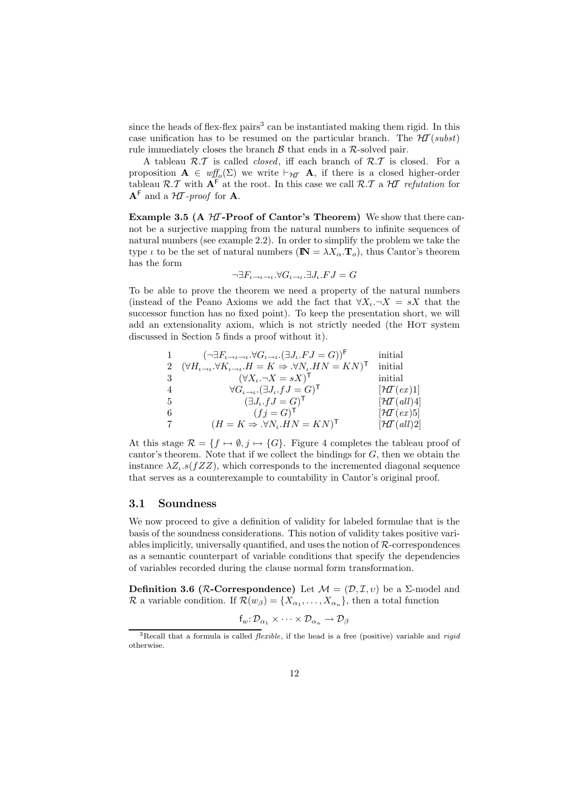since the heads of flex-flex pairs<sup>3</sup> can be instantiated making them rigid. In this case unification has to be resumed on the particular branch. The  $H\mathcal{T}(subst)$ rule immediately closes the branch  $\beta$  that ends in a  $\mathcal{R}$ -solved pair.

A tableau  $\mathcal{R}.\mathcal{T}$  is called *closed*, iff each branch of  $\mathcal{R}.\mathcal{T}$  is closed. For a proposition  $\mathbf{A} \in \text{wf}_{\mathcal{O}}(\Sigma)$  we write  $\vdash_{\mathcal{H}} \mathbf{A}$ , if there is a closed higher-order tableau  $\mathcal{R}.\mathcal{T}$  with  $\mathbf{A}^{\mathsf{F}}$  at the root. In this case we call  $\mathcal{R}.\mathcal{T}$  a  $\mathcal{H}$  refutation for  $A^F$  and a  $H$ -proof for A.

Example 3.5 (A  $H\mathcal{I}$ -Proof of Cantor's Theorem) We show that there cannot be a surjective mapping from the natural numbers to infinite sequences of natural numbers (see example 2.2). In order to simplify the problem we take the type  $\iota$  to be the set of natural numbers ( $\mathbb{N} = \lambda X_{\alpha} \cdot \mathbf{T}_{o}$ ), thus Cantor's theorem has the form

$$
\neg \exists F_{\iota \to \iota \to \iota}.\forall G_{\iota \to \iota}.\exists J_{\iota}.FJ=G
$$

To be able to prove the theorem we need a property of the natural numbers (instead of the Peano Axioms we add the fact that  $\forall X_i.\neg X = sX$  that the successor function has no fixed point). To keep the presentation short, we will add an extensionality axiom, which is not strictly needed (the HOT system discussed in Section 5 finds a proof without it).

|    | $(\neg \exists F_{\iota \to \iota \to \iota} \forall G_{\iota \to \iota}.(\exists J_{\iota}.FJ = G))^{\mathsf{F}}$                         | initial                         |
|----|--------------------------------------------------------------------------------------------------------------------------------------------|---------------------------------|
|    | $(\forall H_{\iota \to \iota}.\forall K_{\iota \to \iota}.\overline{H} = K \Rightarrow \forall N_{\iota}.\overline{H}N = KN)^{\mathsf{T}}$ | initial                         |
|    | $(\forall X_i \neg X = sX)$ <sup>T</sup>                                                                                                   | initial                         |
|    | $\forall G_{\iota \to \iota}.(\exists J_{\iota}.fJ = G)^{\mathsf{T}}$                                                                      | $[\mathcal{H}T(ex)]$            |
| -5 | $(\exists J_{\iota}.fJ=G)^{\mathsf{T}}$                                                                                                    | $[\mathcal{H}T(\textit{all})4]$ |
| -6 | $(fj = G)^{\mathsf{T}}$                                                                                                                    | $[\mathcal{H}T(ex)5]$           |
| 7  | $(H = K \Rightarrow \forall N_{\iota} . H N = K N)^{\mathsf{T}}$                                                                           | $[\mathcal{H}T(\textit{all})2]$ |

At this stage  $\mathcal{R} = \{f \mapsto \emptyset, j \mapsto \{G\} \}$ . Figure 4 completes the tableau proof of cantor's theorem. Note that if we collect the bindings for G, then we obtain the instance  $\lambda Z_{\iota}$ .s( $fZZ$ ), which corresponds to the incremented diagonal sequence that serves as a counterexample to countability in Cantor's original proof.

### 3.1 Soundness

We now proceed to give a definition of validity for labeled formulae that is the basis of the soundness considerations. This notion of validity takes positive variables implicitly, universally quantified, and uses the notion of  $R$ -correspondences as a semantic counterpart of variable conditions that specify the dependencies of variables recorded during the clause normal form transformation.

Definition 3.6 (*R*-Correspondence) Let  $M = (\mathcal{D}, \mathcal{I}, v)$  be a  $\Sigma$ -model and R a variable condition. If  $\mathcal{R}(w_{\beta}) = \{X_{\alpha_1}, \ldots, X_{\alpha_n}\}\$ , then a total function

$$
f_w: \mathcal{D}_{\alpha_1} \times \cdots \times \mathcal{D}_{\alpha_n} \to \mathcal{D}_{\beta}
$$

 ${}^{3}$ Recall that a formula is called *flexible*, if the head is a free (positive) variable and *rigid* otherwise.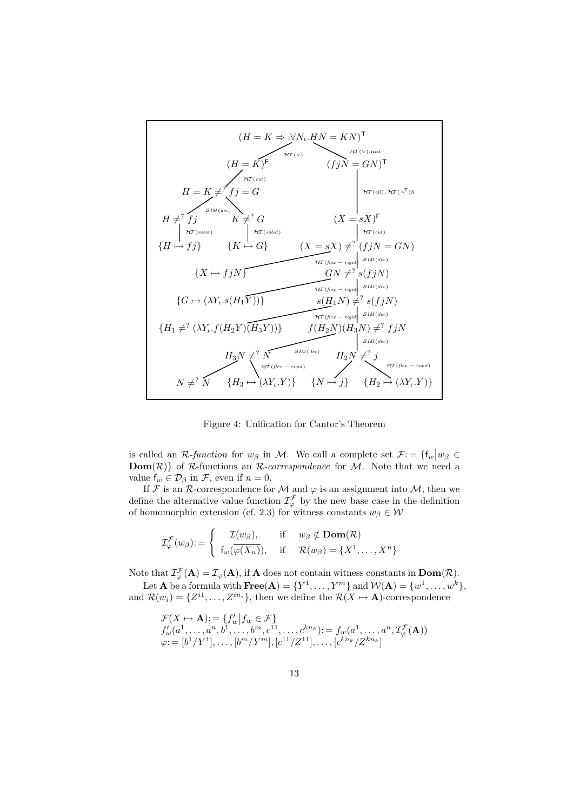

Figure 4: Unification for Cantor's Theorem

is called an R-function for  $w_{\beta}$  in M. We call a complete set  $\mathcal{F}$ : = { $f_w | w_{\beta} \in$ **Dom** $(R)$  of R-functions an R-correspondence for M. Note that we need a value  $f_w \in \mathcal{D}_\beta$  in F, even if  $n = 0$ .

If F is an R-correspondence for M and  $\varphi$  is an assignment into M, then we define the alternative value function  $\mathcal{I}^{\mathcal{F}}_{\varphi}$  by the new base case in the definition of homomorphic extension (cf. 2.3) for witness constants  $w_{\beta} \in \mathcal{W}$ 

$$
\mathcal{I}_{\varphi}^{\mathcal{F}}(w_{\beta}) := \begin{cases} \mathcal{I}(w_{\beta}), & \text{if } w_{\beta} \notin \mathbf{Dom}(\mathcal{R}) \\ f_w(\overline{\varphi(X_n)}), & \text{if } \mathcal{R}(w_{\beta}) = \{X^1, \dots, X^n\} \end{cases}
$$

Note that  $\mathcal{I}_{\varphi}^{\mathcal{F}}(\mathbf{A}) = \mathcal{I}_{\varphi}(\mathbf{A})$ , if **A** does not contain witness constants in  $\text{Dom}(\mathcal{R})$ .

Let **A** be a formula with  $\textbf{Free}(A) = \{Y^1, \ldots, Y^m\}$  and  $\mathcal{W}(A) = \{w^1, \ldots, w^k\},$ and  $\mathcal{R}(w_i) = \{Z^{i1}, \ldots, Z^{in_i}\},\$  then we define the  $\mathcal{R}(X \mapsto \mathbf{A})$ -correspondence

$$
\mathcal{F}(X \to \mathbf{A}) := \{f'_w | f_w \in \mathcal{F}\} \n f'_w(a^1, \dots, a^n, b^1, \dots, b^m, c^{11}, \dots, c^{kn_k}) := f_w(a^1, \dots, a^n, \mathcal{I}_{\varphi}^{\mathcal{F}}(\mathbf{A})) \n \varphi := [b^1/Y^1], \dots, [b^m/Y^m], [c^{11}/Z^{11}], \dots, [c^{kn_k}/Z^{kn_k}]
$$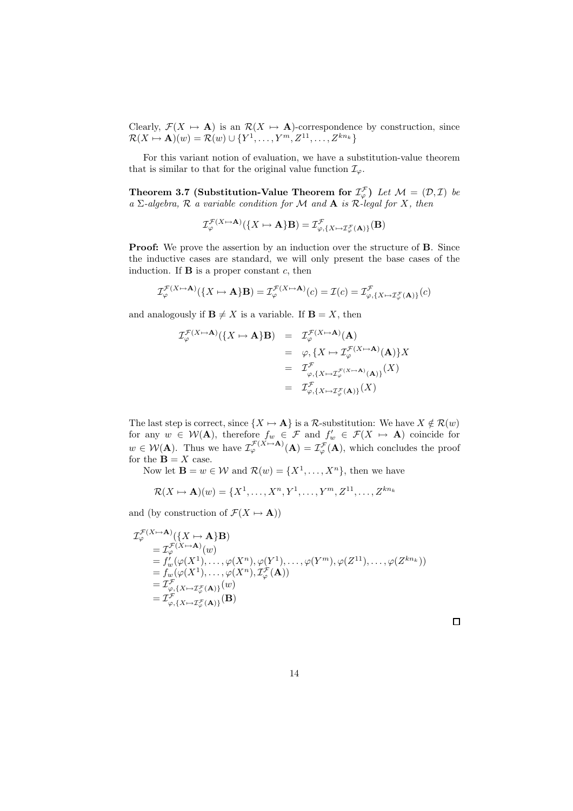Clearly,  $\mathcal{F}(X \mapsto \mathbf{A})$  is an  $\mathcal{R}(X \mapsto \mathbf{A})$ -correspondence by construction, since  $\mathcal{R}(X \mapsto \mathbf{A})(w) = \mathcal{R}(w) \cup \{Y^1, \ldots, Y^m, Z^{11}, \ldots, Z^{kn_k}\}$ 

For this variant notion of evaluation, we have a substitution-value theorem that is similar to that for the original value function  $\mathcal{I}_{\varphi}$ .

Theorem 3.7 (Substitution-Value Theorem for  $\mathcal{I}^{\mathcal{F}}_{\varphi}$ ) Let  $\mathcal{M} = (\mathcal{D}, \mathcal{I})$  be a  $\Sigma$ -algebra,  $\mathcal R$  a variable condition for  $\mathcal M$  and  $\mathbf A$  is  $\mathcal R$ -legal for  $X$ , then

$$
\mathcal{I}_{\varphi}^{\mathcal{F}(X \mapsto \mathbf{A})}(\{X \mapsto \mathbf{A}\} \mathbf{B}) = \mathcal{I}_{\varphi, \{X \mapsto \mathcal{I}_{\varphi}^{\mathcal{F}}(\mathbf{A})\}}^{\mathcal{F}}(\mathbf{B})
$$

Proof: We prove the assertion by an induction over the structure of B. Since the inductive cases are standard, we will only present the base cases of the induction. If  $\bf{B}$  is a proper constant c, then

$$
\mathcal{I}^{\mathcal{F}(X \mapsto \mathbf{A})}_{\varphi}(\{X \mapsto \mathbf{A}\} \mathbf{B}) = \mathcal{I}^{\mathcal{F}(X \mapsto \mathbf{A})}_{\varphi}(c) = \mathcal{I}(c) = \mathcal{I}^{\mathcal{F}}_{\varphi,\{X \mapsto \mathcal{I}^{\mathcal{F}}_{\varphi}(\mathbf{A})\}}(c)
$$

and analogously if  $\mathbf{B} \neq X$  is a variable. If  $\mathbf{B} = X$ , then

$$
\mathcal{I}_{\varphi}^{\mathcal{F}(X \mapsto \mathbf{A})}(\lbrace X \mapsto \mathbf{A} \rbrace \mathbf{B}) = \mathcal{I}_{\varphi}^{\mathcal{F}(X \mapsto \mathbf{A})}(\mathbf{A})
$$
  
\n
$$
= \varphi, \lbrace X \mapsto \mathcal{I}_{\varphi}^{\mathcal{F}(X \mapsto \mathbf{A})}(\mathbf{A}) \rbrace X
$$
  
\n
$$
= \mathcal{I}_{\varphi, \lbrace X \mapsto \mathcal{I}_{\varphi}^{\mathcal{F}(X \mapsto \mathbf{A})}(\mathbf{A}) \rbrace}^{\mathcal{F}(X \mapsto \mathbf{A})}(\mathbf{X})
$$
  
\n
$$
= \mathcal{I}_{\varphi, \lbrace X \mapsto \mathcal{I}_{\varphi}^{\mathcal{F}}(\mathbf{A}) \rbrace}^{\mathcal{F}(X \mapsto \mathbf{A})}(\mathbf{X})
$$

The last step is correct, since  $\{X \mapsto \mathbf{A}\}\$ is a R-substitution: We have  $X \notin \mathcal{R}(w)$ for any  $w \in \mathcal{W}(\mathbf{A})$ , therefore  $f_w \in \mathcal{F}$  and  $f'_w \in \mathcal{F}(X \mapsto \mathbf{A})$  coincide for  $w \in \mathcal{W}(\mathbf{A})$ . Thus we have  $\mathcal{I}_{\varphi}^{\mathcal{F}(X \mapsto \mathbf{A})}(\mathbf{A}) = \mathcal{I}_{\varphi}^{\mathcal{F}}(\mathbf{A})$ , which concludes the proof for the  $\mathbf{B} = X$  case.

Now let  $\mathbf{B} = w \in \mathcal{W}$  and  $\mathcal{R}(w) = \{X^1, \ldots, X^n\}$ , then we have

$$
\mathcal{R}(X \mapsto \mathbf{A})(w) = \{X^1, \dots, X^n, Y^1, \dots, Y^m, Z^{11}, \dots, Z^{kn_k}\}
$$

and (by construction of  $\mathcal{F}(X \mapsto \mathbf{A})$ )

$$
\mathcal{I}_{\varphi}^{\mathcal{F}(X \mapsto \mathbf{A})}(\lbrace X \mapsto \mathbf{A} \rbrace \mathbf{B})
$$
\n
$$
= \mathcal{I}_{\varphi}^{\mathcal{F}(X \mapsto \mathbf{A})}(w)
$$
\n
$$
= f'_{w}(\varphi(X^{1}), \dots, \varphi(X^{n}), \varphi(Y^{1}), \dots, \varphi(Y^{m}), \varphi(Z^{11}), \dots, \varphi(Z^{kn_{k}}))
$$
\n
$$
= f_{w}(\varphi(X^{1}), \dots, \varphi(X^{n}), \mathcal{I}_{\varphi}^{\mathcal{F}}(\mathbf{A}))
$$
\n
$$
= \mathcal{I}_{\varphi, \{X \mapsto \mathcal{I}_{\varphi}^{\mathcal{F}}(\mathbf{A})\}}^{\mathcal{F}}(w)
$$
\n
$$
= \mathcal{I}_{\varphi, \{X \mapsto \mathcal{I}_{\varphi}^{\mathcal{F}}(\mathbf{A})\}}^{\mathcal{F}}(\mathbf{B})
$$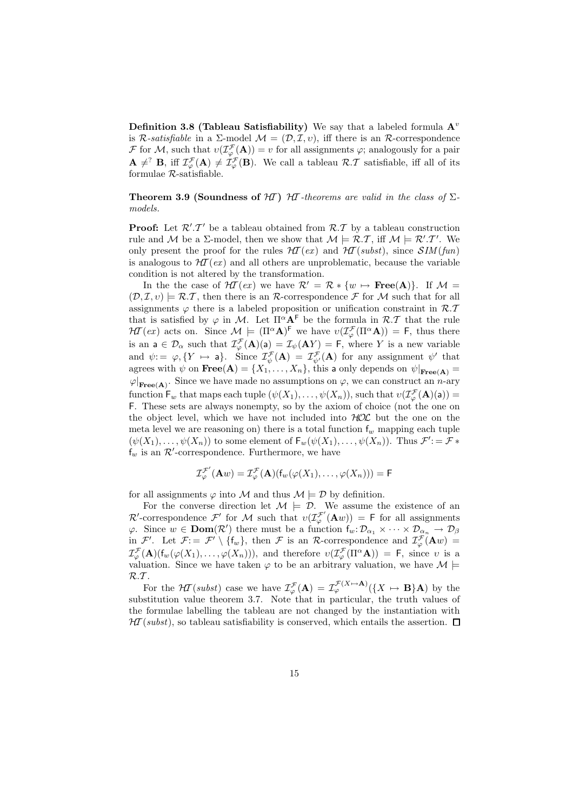**Definition 3.8 (Tableau Satisfiability)** We say that a labeled formula  $A^v$ is R-satisfiable in a  $\Sigma$ -model  $\mathcal{M} = (\mathcal{D}, \mathcal{I}, v)$ , iff there is an R-correspondence F for M, such that  $v(\mathcal{I}_{\varphi}^{\mathcal{F}}(A))=v$  for all assignments  $\varphi$ ; analogously for a pair  $\mathbf{A} \neq^? \mathbf{B}$ , iff  $\mathcal{I}^{\mathcal{F}}_{\varphi}(\mathbf{A}) \neq \mathcal{I}^{\mathcal{F}}_{\varphi}(\mathbf{B})$ . We call a tableau  $\mathcal{R}.\mathcal{T}$  satisfiable, iff all of its formulae R-satisfiable.

**Theorem 3.9 (Soundness of HT)** HT-theorems are valid in the class of  $\Sigma$ models.

**Proof:** Let  $\mathcal{R}'$ . T' be a tableau obtained from  $\mathcal{R}$ . T by a tableau construction rule and M be a  $\Sigma$ -model, then we show that  $\mathcal{M} \models \mathcal{R} \mathcal{I}$ , iff  $\mathcal{M} \models \mathcal{R}' \mathcal{I}'$ . We only present the proof for the rules  $\mathcal{H}(\epsilon x)$  and  $\mathcal{H}(\epsilon s b s t)$ , since  $\mathcal{S}I\mathcal{M}(\epsilon t n)$ is analogous to  $H\mathcal{I}(ex)$  and all others are unproblematic, because the variable condition is not altered by the transformation.

In the the case of  $H\mathcal{I}(ex)$  we have  $\mathcal{R}' = \mathcal{R} * \{w \mapsto \text{Free}(A)\}\$ . If  $\mathcal{M} =$  $(\mathcal{D}, \mathcal{I}, v) \models \mathcal{R}. \mathcal{T}$ , then there is an R-correspondence F for M such that for all assignments  $\varphi$  there is a labeled proposition or unification constraint in  $\mathcal{R}.\mathcal{T}$ that is satisfied by  $\varphi$  in M. Let  $\Pi^{\alpha} \mathbf{A}^{\beta}$  be the formula in  $\mathcal{R} \mathcal{F}$  that the rule  $H\mathcal{I}(ex)$  acts on. Since  $\mathcal{M} \models (\Pi^{\alpha}A)^{\mathsf{F}}$  we have  $v(\mathcal{I}_{\varphi}^{\mathcal{F}}(\Pi^{\alpha}A)) = \mathsf{F}$ , thus there is an  $a \in \mathcal{D}_{\alpha}$  such that  $\mathcal{I}_{\varphi}^{\mathcal{F}}(A)(a) = \mathcal{I}_{\psi}(AY) = F$ , where Y is a new variable and  $\psi = \varphi, \{ Y \mapsto \mathsf{a} \}.$  Since  $\mathcal{I}_{\psi}^{\mathcal{F}}(\mathbf{A}) = \mathcal{I}_{\psi'}^{\mathcal{F}}(\mathbf{A})$  for any assignment  $\psi'$  that agrees with  $\psi$  on  $\textbf{Free}(A) = \{X_1, \ldots, X_n\}$ , this a only depends on  $\psi|_{\textbf{Free}(A)} =$  $\varphi|_{\textbf{Free(A)}}$ . Since we have made no assumptions on  $\varphi$ , we can construct an *n*-ary function  $\mathsf{F}_w$  that maps each tuple  $(\psi(X_1), \ldots, \psi(X_n))$ , such that  $v(\mathcal{I}^{\mathcal{F}}_{\varphi}(\mathbf{A})(\mathsf{a})) =$ F. These sets are always nonempty, so by the axiom of choice (not the one on the object level, which we have not included into  $HOL$  but the one on the meta level we are reasoning on) there is a total function  $f_w$  mapping each tuple  $(\psi(X_1), \ldots, \psi(X_n))$  to some element of  $\mathsf{F}_w(\psi(X_1), \ldots, \psi(X_n))$ . Thus  $\mathcal{F}' = \mathcal{F} *$  $f_w$  is an  $\mathcal{R}'$ -correspondence. Furthermore, we have

$$
\mathcal{I}^{\mathcal{F}'}_{\varphi}(\mathbf{A} w)=\mathcal{I}^{\mathcal{F}}_{\varphi}(\mathbf{A})(\mathsf{f}_{w}(\varphi(X_1),\ldots,\varphi(X_n)))=\mathsf{F}
$$

for all assignments  $\varphi$  into M and thus  $\mathcal{M} \models \mathcal{D}$  by definition.

For the converse direction let  $\mathcal{M} \models \mathcal{D}$ . We assume the existence of an  $\mathcal{R}'$ -correspondence  $\mathcal{F}'$  for M such that  $v(\mathcal{I}^{\mathcal{F}'}_{\varphi}(\mathbf{A} w)) = \mathsf{F}$  for all assignments  $\varphi$ . Since  $w \in \text{Dom}(\mathcal{R}')$  there must be a function  $f_w: \mathcal{D}_{\alpha_1} \times \cdots \times \mathcal{D}_{\alpha_n} \to \mathcal{D}_{\beta}$ in  $\mathcal{F}'$ . Let  $\mathcal{F} := \mathcal{F}' \setminus \{f_w\}$ , then  $\mathcal{F}$  is an R-correspondence and  $\mathcal{I}^{\mathcal{F}}_{\varphi}(\mathbf{A}w) =$  $\mathcal{I}_{\varphi}^{\mathcal{F}}(\mathbf{A})(f_{w}(\varphi(X_1),\ldots,\varphi(X_n))),$  and therefore  $v(\mathcal{I}_{\varphi}^{\mathcal{F}}(\Pi^{\alpha}\mathbf{A})) = \mathsf{F}$ , since v is a valuation. Since we have taken  $\varphi$  to be an arbitrary valuation, we have  $\mathcal{M} \models$  $R.T$ .

For the  $H\mathcal{I}(subst)$  case we have  $\mathcal{I}^{\mathcal{F}}_{\varphi}(\mathbf{A}) = \mathcal{I}^{\mathcal{F}(X \mapsto \mathbf{A})}_{\varphi}(\{X \mapsto \mathbf{B}\}\mathbf{A})$  by the substitution value theorem 3.7. Note that in particular, the truth values of the formulae labelling the tableau are not changed by the instantiation with  $\mathcal{H}$  (subst), so tableau satisfiability is conserved, which entails the assertion.  $\Box$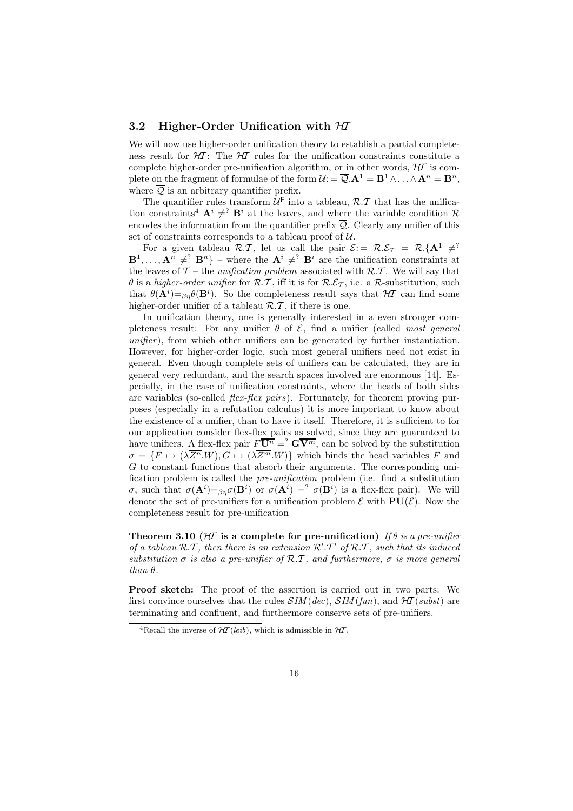### 3.2 Higher-Order Unification with  $H\mathcal{I}$

We will now use higher-order unification theory to establish a partial completeness result for  $H$ : The HT rules for the unification constraints constitute a complete higher-order pre-unification algorithm, or in other words,  $H\mathcal{I}$  is complete on the fragment of formulae of the form  $\mathcal{U} := \overline{\mathcal{Q}} \cdot \mathbf{A}^1 = \mathbf{B}^1 \wedge \ldots \wedge \mathbf{A}^n = \mathbf{B}^n$ . where  $\overline{Q}$  is an arbitrary quantifier prefix.

The quantifier rules transform  $\mathcal{U}^{\mathsf{F}}$  into a tableau,  $\mathcal{R}.\mathcal{T}$  that has the unification constraints<sup>4</sup>  $\mathbf{A}^i \neq^? \mathbf{B}^i$  at the leaves, and where the variable condition R encodes the information from the quantifier prefix  $\overline{Q}$ . Clearly any unifier of this set of constraints corresponds to a tableau proof of  $U$ .

For a given tableau R.T, let us call the pair  $\mathcal{E} = \mathcal{R} \mathcal{E}_{\mathcal{T}} = \mathcal{R} \{ \mathbf{A}^1 \neq^?$  $\mathbf{B}^1, \ldots, \mathbf{A}^n \neq \{^2 \mathbf{B}^n\}$  – where the  $\mathbf{A}^i \neq \{^2 \mathbf{B}^i\}$  are the unification constraints at the leaves of  $\mathcal{T}$  – the *unification problem* associated with  $\mathcal{R} \mathcal{I}$ . We will say that  $\theta$  is a higher-order unifier for R.T, iff it is for R. $\mathcal{E}_{\mathcal{T}}$ , i.e. a R-substitution, such that  $\theta(\mathbf{A}^i) = \beta \eta \theta(\mathbf{B}^i)$ . So the completeness result says that  $H\mathcal{I}$  can find some higher-order unifier of a tableau  $\mathcal{R} \mathcal{F}$ , if there is one.

In unification theory, one is generally interested in a even stronger completeness result: For any unifier  $\theta$  of  $\mathcal{E}$ , find a unifier (called most general unifier), from which other unifiers can be generated by further instantiation. However, for higher-order logic, such most general unifiers need not exist in general. Even though complete sets of unifiers can be calculated, they are in general very redundant, and the search spaces involved are enormous [14]. Especially, in the case of unification constraints, where the heads of both sides are variables (so-called *flex-flex pairs*). Fortunately, for theorem proving purposes (especially in a refutation calculus) it is more important to know about the existence of a unifier, than to have it itself. Therefore, it is sufficient to for our application consider flex-flex pairs as solved, since they are guaranteed to have unifiers. A flex-flex pair  $F\overline{U^n} = \overline{G} \overline{V^m}$ , can be solved by the substitution  $\sigma = \{F \mapsto (\lambda \overline{Z^n}.W), G \mapsto (\lambda \overline{Z^m}.W)\}\$  which binds the head variables F and G to constant functions that absorb their arguments. The corresponding unification problem is called the pre-unification problem (i.e. find a substitution σ, such that  $\sigma(\mathbf{A}^i) = \beta \eta \sigma(\mathbf{B}^i)$  or  $\sigma(\mathbf{A}^i) = \gamma \sigma(\mathbf{B}^i)$  is a flex-flex pair). We will denote the set of pre-unifiers for a unification problem  $\mathcal E$  with  $PU(\mathcal E)$ . Now the completeness result for pre-unification

Theorem 3.10 ( $H\bar{I}$  is a complete for pre-unification) If  $\theta$  is a pre-unifier of a tableau  $\mathcal{R} \cdot \mathcal{T}$ , then there is an extension  $\mathcal{R}' \cdot \mathcal{T}'$  of  $\mathcal{R} \cdot \mathcal{T}$ , such that its induced substitution  $\sigma$  is also a pre-unifier of R.T, and furthermore,  $\sigma$  is more general than  $\theta$ .

Proof sketch: The proof of the assertion is carried out in two parts: We first convince ourselves that the rules  $SIM(dec), SIM(fun),$  and  $H\llap{T}(subst)$  are terminating and confluent, and furthermore conserve sets of pre-unifiers.

<sup>&</sup>lt;sup>4</sup>Recall the inverse of  $H\mathcal{T}(leib)$ , which is admissible in  $H\mathcal{T}$ .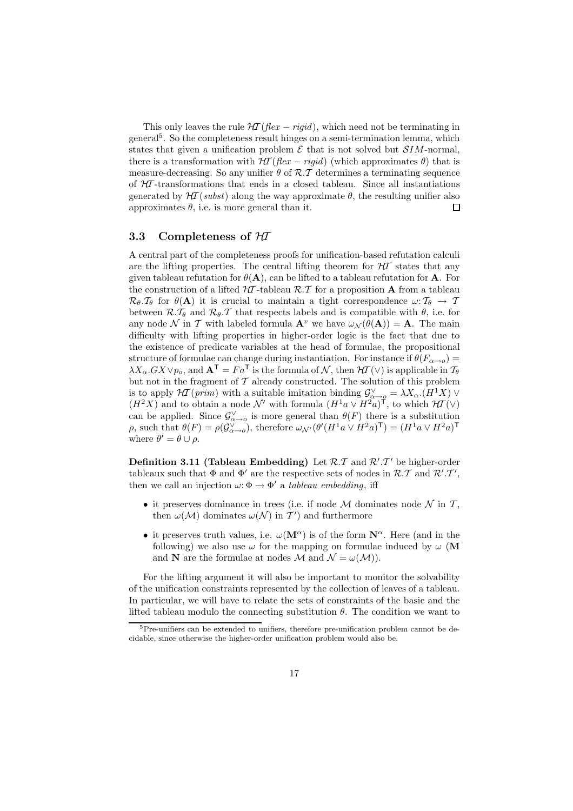This only leaves the rule  $H\mathcal{T}$  (flex – rigid), which need not be terminating in general<sup>5</sup> . So the completeness result hinges on a semi-termination lemma, which states that given a unification problem  $\mathcal E$  that is not solved but  $SIM$ -normal, there is a transformation with  $H\mathcal{I}$  (flex – rigid) (which approximates  $\theta$ ) that is measure-decreasing. So any unifier  $\theta$  of  $\mathcal{R} \mathcal{I}$  determines a terminating sequence of  $H\!I$ -transformations that ends in a closed tableau. Since all instantiations generated by  $\mathcal{H}(subst)$  along the way approximate  $\theta$ , the resulting unifier also approximates  $\theta$ , i.e. is more general than it.  $\Box$ 

#### 3.3 Completeness of  $H\!\!\mathcal{I}$

A central part of the completeness proofs for unification-based refutation calculi are the lifting properties. The central lifting theorem for  $H\mathcal{T}$  states that any given tableau refutation for  $\theta(\mathbf{A})$ , can be lifted to a tableau refutation for **A**. For the construction of a lifted  $H\mathcal{I}$ -tableau  $\mathcal{R} \mathcal{I}$  for a proposition **A** from a tableau  $\mathcal{R}_{\theta}.\mathcal{T}_{\theta}$  for  $\theta(\mathbf{A})$  it is crucial to maintain a tight correspondence  $\omega: \mathcal{T}_{\theta} \to \mathcal{T}$ between  $\mathcal{R} \cdot \mathcal{T}_{\theta}$  and  $\mathcal{R}_{\theta} \cdot \mathcal{T}$  that respects labels and is compatible with  $\theta$ , i.e. for any node N in T with labeled formula  $\mathbf{A}^v$  we have  $\omega_{\mathcal{N}}(\theta(\mathbf{A})) = \mathbf{A}$ . The main difficulty with lifting properties in higher-order logic is the fact that due to the existence of predicate variables at the head of formulae, the propositional structure of formulae can change during instantiation. For instance if  $\theta(F_{\alpha\rightarrow o})$  $\lambda X_{\alpha}$ .GX $\vee p_{o}$ , and  $\mathbf{A}^{T} = Fa^{T}$  is the formula of N, then  $\mathcal{H}(\vee)$  is applicable in  $\mathcal{T}_{\theta}$ but not in the fragment of  $T$  already constructed. The solution of this problem is to apply  $H\mathcal{I}(prim)$  with a suitable imitation binding  $\mathcal{G}^{\vee}_{\alpha \to \varrho} = \lambda X_{\alpha}.(H^1X)$   $\vee$  $(H^2X)$  and to obtain a node N' with formula  $(H^1a \vee H^2a)^{\mathsf{T}}$ , to which  $\mathcal{H}(\vee)$ can be applied. Since  $\mathcal{G}_{\alpha\to o}^{\vee}$  is more general than  $\theta(F)$  there is a substitution ρ, such that  $\theta(F) = \rho(\mathcal{G}_{\alpha \to o}^{\vee}),$  therefore  $\omega_{\mathcal{N}'}(\theta'(H^1 a \vee H^2 a)^{\mathsf{T}}) = (H^1 a \vee H^2 a)^{\mathsf{T}}$ where  $\theta' = \theta \cup \rho$ .

**Definition 3.11 (Tableau Embedding)** Let  $\mathcal{R} \cdot \mathcal{T}$  and  $\mathcal{R}' \cdot \mathcal{T}'$  be higher-order tableaux such that  $\Phi$  and  $\Phi'$  are the respective sets of nodes in  $\mathcal{R}.\mathcal{T}$  and  $\mathcal{R}'.\mathcal{T}',$ then we call an injection  $\omega \colon \Phi \to \Phi'$  a tableau embedding, iff

- $\bullet\,$  it preserves dominance in trees (i.e. if node  ${\mathcal M}$  dominates node  ${\mathcal N}$  in  ${\mathcal T},$ then  $\omega(\mathcal{M})$  dominates  $\omega(\mathcal{N})$  in  $\mathcal{T}'$  and furthermore
- it preserves truth values, i.e.  $\omega(\mathbf{M}^{\alpha})$  is of the form  $\mathbf{N}^{\alpha}$ . Here (and in the following) we also use  $\omega$  for the mapping on formulae induced by  $\omega$  (M and **N** are the formulae at nodes M and  $\mathcal{N} = \omega(\mathcal{M})$ .

For the lifting argument it will also be important to monitor the solvability of the unification constraints represented by the collection of leaves of a tableau. In particular, we will have to relate the sets of constraints of the basic and the lifted tableau modulo the connecting substitution  $\theta$ . The condition we want to

<sup>&</sup>lt;sup>5</sup>Pre-unifiers can be extended to unifiers, therefore pre-unification problem cannot be decidable, since otherwise the higher-order unification problem would also be.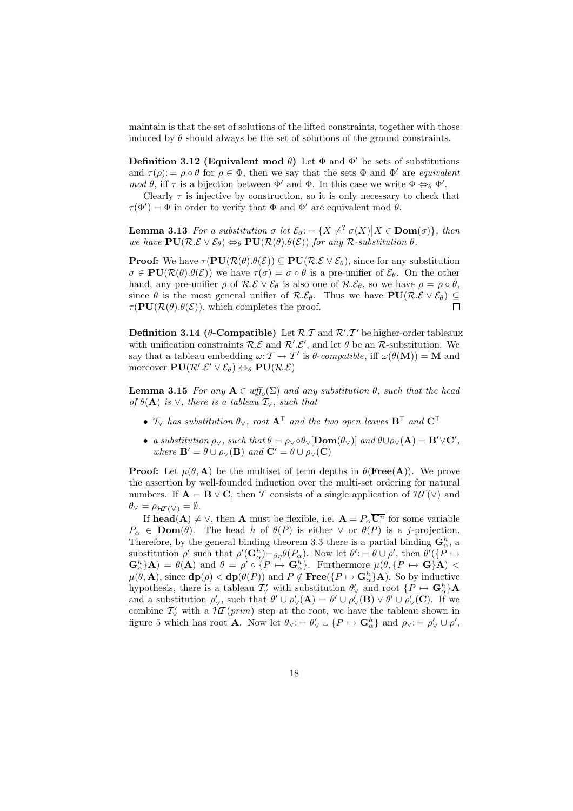maintain is that the set of solutions of the lifted constraints, together with those induced by  $\theta$  should always be the set of solutions of the ground constraints.

Definition 3.12 (Equivalent mod  $\theta$ ) Let  $\Phi$  and  $\Phi'$  be sets of substitutions and  $\tau(\rho) := \rho \circ \theta$  for  $\rho \in \Phi$ , then we say that the sets  $\Phi$  and  $\Phi'$  are *equivalent* mod  $\theta$ , iff  $\tau$  is a bijection between  $\Phi'$  and  $\Phi$ . In this case we write  $\Phi \Leftrightarrow_{\theta} \Phi'$ .

Clearly  $\tau$  is injective by construction, so it is only necessary to check that  $\tau(\Phi') = \Phi$  in order to verify that  $\Phi$  and  $\Phi'$  are equivalent mod  $\theta$ .

**Lemma 3.13** For a substitution  $\sigma$  let  $\mathcal{E}_{\sigma} := \{X \neq^? \sigma(X) | X \in \text{Dom}(\sigma)\}\$ , then we have  $PU(R.E \vee E_{\theta}) \Leftrightarrow_{\theta} PU(R(\theta).\theta(\mathcal{E}))$  for any R-substitution  $\theta$ .

**Proof:** We have  $\tau(\mathbf{PU}(\mathcal{R}(\theta),\theta(\mathcal{E})) \subseteq \mathbf{PU}(\mathcal{R}.\mathcal{E} \vee \mathcal{E}_{\theta})$ , since for any substitution  $\sigma \in PU(\mathcal{R}(\theta).\theta(\mathcal{E}))$  we have  $\tau(\sigma) = \sigma \circ \theta$  is a pre-unifier of  $\mathcal{E}_{\theta}$ . On the other hand, any pre-unifier  $\rho$  of  $\mathcal{R}.\mathcal{E} \vee \mathcal{E}_{\theta}$  is also one of  $\mathcal{R}.\mathcal{E}_{\theta}$ , so we have  $\rho = \rho \circ \theta$ , since  $\theta$  is the most general unifier of  $\mathcal{R.E}_\theta$ . Thus we have  $PU(\mathcal{R.E}\vee \mathcal{E}_\theta) \subseteq$  $\tau(\textbf{PU}(\mathcal{R}(\theta).\theta(\mathcal{E}))$ , which completes the proof.  $\Box$ 

**Definition 3.14 (** $\theta$ **-Compatible)** Let  $\mathcal{R} \cdot \mathcal{T}$  and  $\mathcal{R}' \cdot \mathcal{T}'$  be higher-order tableaux with unification constraints  $\mathcal{R}.\mathcal{E}$  and  $\mathcal{R}'.\mathcal{E}'$ , and let  $\theta$  be an  $\mathcal{R}$ -substitution. We say that a tableau embedding  $\omega: \mathcal{T} \to \mathcal{T}'$  is  $\theta$ -compatible, iff  $\omega(\theta(\mathbf{M})) = \mathbf{M}$  and moreover  $PU(\mathcal{R}'\mathcal{L}' \vee \mathcal{E}_{\theta}) \Leftrightarrow_{\theta} PU(\mathcal{R}\mathcal{L})$ 

**Lemma 3.15** For any  $A \in \text{wff}_o(\Sigma)$  and any substitution  $\theta$ , such that the head of  $\theta(\mathbf{A})$  is  $\vee$ , there is a tableau  $\mathcal{T}_{\vee}$ , such that

- $\mathcal{T}_{\vee}$  has substitution  $\theta_{\vee}$ , root  $\mathbf{A}^{\mathsf{T}}$  and the two open leaves  $\mathbf{B}^{\mathsf{T}}$  and  $\mathbf{C}^{\mathsf{T}}$
- a substitution  $\rho_{\vee}$ , such that  $\theta = \rho_{\vee} \circ \theta_{\vee}[\text{Dom}(\theta_{\vee})]$  and  $\theta \cup \rho_{\vee}(\mathbf{A}) = \mathbf{B}' \vee \mathbf{C}'$ , where  $\mathbf{B}' = \theta \cup \rho_{\vee}(\mathbf{B})$  and  $\mathbf{C}' = \theta \cup \rho_{\vee}(\mathbf{C})$

**Proof:** Let  $\mu(\theta, \mathbf{A})$  be the multiset of term depths in  $\theta(\text{Free}(A))$ . We prove the assertion by well-founded induction over the multi-set ordering for natural numbers. If  $\mathbf{A} = \mathbf{B} \vee \mathbf{C}$ , then T consists of a single application of  $H\mathcal{I}(\vee)$  and  $\theta_{\vee} = \rho_{\mathcal{H}\mathcal{I}\langle \vee \rangle} = \emptyset.$ 

If **head(A)**  $\neq \vee$ , then **A** must be flexible, i.e.  $\mathbf{A} = P_{\alpha} \overline{\mathbf{U}^{n}}$  for some variable  $P_{\alpha} \in \textbf{Dom}(\theta)$ . The head h of  $\theta(P)$  is either  $\vee$  or  $\theta(P)$  is a j-projection. Therefore, by the general binding theorem 3.3 there is a partial binding  $\mathbf{G}_{\alpha}^{h}$ , a substitution  $\rho'$  such that  $\rho'(\mathbf{G}_{\alpha}^h) = \beta \eta \theta(P_{\alpha})$ . Now let  $\theta' := \theta \cup \rho'$ , then  $\theta'(\{P \mapsto \theta' \mid P_{\alpha}\})$  $\mathbf{G}_{\alpha}^{h}$   $\mathbf{A}) = \theta(\mathbf{A})$  and  $\theta = \rho' \circ \{P \mapsto \mathbf{G}_{\alpha}^{h}\}\$ . Furthermore  $\mu(\theta, \{P \mapsto \mathbf{G}\}\mathbf{A})$  <  $\mu(\theta, \mathbf{A})$ , since  $d\mathbf{p}(\rho) < d\mathbf{p}(\theta(P))$  and  $P \notin \textbf{Free}(\{P \mapsto \mathbf{G}_{\alpha}^{h}\}\mathbf{A})$ . So by inductive hypothesis, there is a tableau  $\mathcal{T}'_{\vee}$  with substitution  $\theta'_{\vee}$  and root  $\{P \mapsto \mathbf{G}_{\alpha}^h\}\mathbf{A}$ and a substitution  $\rho'_{\vee}$ , such that  $\theta' \cup \rho'_{\vee}({\bf A}) = \theta' \cup \rho'_{\vee}({\bf B}) \vee \theta' \cup \rho'_{\vee}({\bf C})$ . If we combine  $\mathcal{T}'_{\vee}$  with a  $\mathcal{H}(prim)$  step at the root, we have the tableau shown in figure 5 which has root **A**. Now let  $\theta_{\vee} := \theta'_{\vee} \cup \{P \mapsto \mathbf{G}_{\alpha}^{h}\}\$  and  $\rho_{\vee} := \rho'_{\vee} \cup \rho',$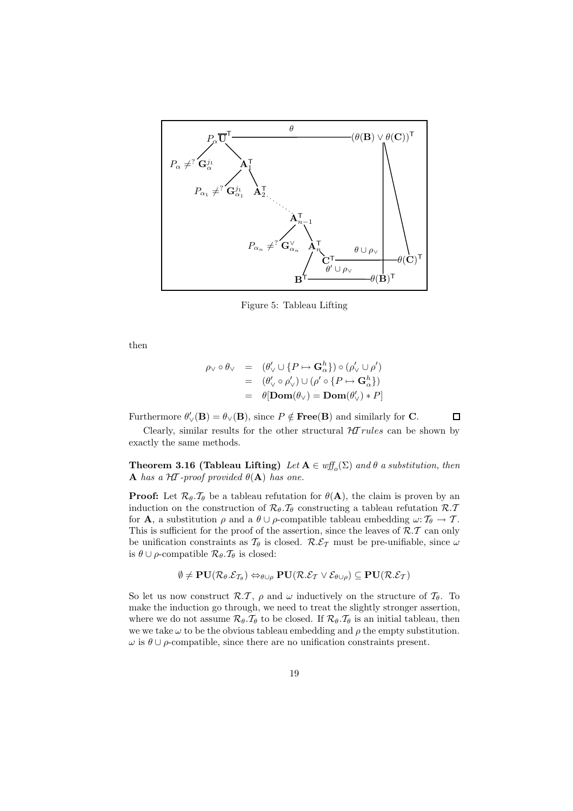

Figure 5: Tableau Lifting

then

$$
\rho_{\vee} \circ \theta_{\vee} = (\theta'_{\vee} \cup \{P \mapsto \mathbf{G}_{\alpha}^{h}\}) \circ (\rho'_{\vee} \cup \rho')
$$
  
= 
$$
(\theta'_{\vee} \circ \rho'_{\vee}) \cup (\rho' \circ \{P \mapsto \mathbf{G}_{\alpha}^{h}\})
$$
  
= 
$$
\theta[\mathbf{Dom}(\theta_{\vee}) = \mathbf{Dom}(\theta'_{\vee}) * P]
$$

 $\Box$ Furthermore  $\theta'_{\vee}(\mathbf{B}) = \theta_{\vee}(\mathbf{B})$ , since  $P \notin \textbf{Free}(\mathbf{B})$  and similarly for **C**.

Clearly, similar results for the other structural  $HT rules$  can be shown by exactly the same methods.

**Theorem 3.16 (Tableau Lifting)** Let  $A \in \text{wff}_o(\Sigma)$  and  $\theta$  a substitution, then **A** has a  $H\mathcal{I}$ -proof provided  $\theta(\mathbf{A})$  has one.

**Proof:** Let  $\mathcal{R}_{\theta}$ . $\mathcal{T}_{\theta}$  be a tableau refutation for  $\theta(\mathbf{A})$ , the claim is proven by an induction on the construction of  $\mathcal{R}_{\theta} \cdot \mathcal{T}_{\theta}$  constructing a tableau refutation  $\mathcal{R} \cdot \mathcal{T}$ for **A**, a substitution  $\rho$  and a  $\theta \cup \rho$ -compatible tableau embedding  $\omega: \mathcal{T}_{\theta} \to \mathcal{T}$ . This is sufficient for the proof of the assertion, since the leaves of  $\mathcal{R}.\mathcal{T}$  can only be unification constraints as  $\mathcal{T}_{\theta}$  is closed.  $\mathcal{R}.\mathcal{E}_{\mathcal{T}}$  must be pre-unifiable, since  $\omega$ is  $\theta \cup \rho$ -compatible  $\mathcal{R}_{\theta} \cdot \mathcal{T}_{\theta}$  is closed:

$$
\emptyset \neq \textbf{PU}(\mathcal{R}_{\theta}.\mathcal{E}_{\mathcal{T}_{\theta}}) \Leftrightarrow_{\theta \cup \rho} \textbf{PU}(\mathcal{R}.\mathcal{E}_{\mathcal{T}} \vee \mathcal{E}_{\theta \cup \rho}) \subseteq \textbf{PU}(\mathcal{R}.\mathcal{E}_{\mathcal{T}})
$$

So let us now construct  $\mathcal{R}\mathcal{I}, \rho$  and  $\omega$  inductively on the structure of  $\mathcal{I}_{\theta}$ . To make the induction go through, we need to treat the slightly stronger assertion, where we do not assume  $\mathcal{R}_{\theta} \cdot \mathcal{T}_{\theta}$  to be closed. If  $\mathcal{R}_{\theta} \cdot \mathcal{T}_{\theta}$  is an initial tableau, then we we take  $\omega$  to be the obvious tableau embedding and  $\rho$  the empty substitution.  $\omega$  is  $\theta \cup \rho$ -compatible, since there are no unification constraints present.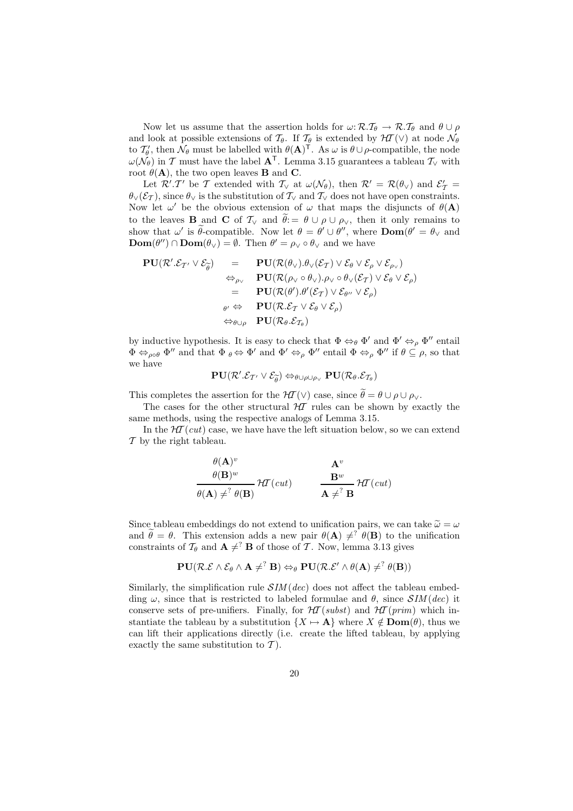Now let us assume that the assertion holds for  $\omega: \mathcal{R}.\mathcal{T}_{\theta} \to \mathcal{R}.\mathcal{T}_{\theta}$  and  $\theta \cup \rho$ and look at possible extensions of  $\mathcal{T}_{\theta}$ . If  $\mathcal{T}_{\theta}$  is extended by  $\mathcal{H}\mathcal{T}(\vee)$  at node  $\mathcal{N}_{\theta}$ to  $\mathcal{T}_{\theta}'$ , then  $\mathcal{N}_{\theta}$  must be labelled with  $\theta(\mathbf{A})^{\mathsf{T}}$ . As  $\omega$  is  $\theta \cup \rho$ -compatible, the node  $\omega(\tilde{\mathcal{N}}_{\theta})$  in T must have the label  $\mathbf{A}^{\mathsf{T}}$ . Lemma 3.15 guarantees a tableau  $\mathcal{T}_{\vee}$  with root  $\theta(\mathbf{A})$ , the two open leaves **B** and **C**.

Let  $\mathcal{R}'$ . T' be T extended with  $\mathcal{T}_{\vee}$  at  $\omega(\mathcal{N}_{\theta})$ , then  $\mathcal{R}' = \mathcal{R}(\theta_{\vee})$  and  $\mathcal{E}'_{\mathcal{T}} =$  $\theta_{\vee}(\mathcal{E}_{\mathcal{T}})$ , since  $\theta_{\vee}$  is the substitution of  $\mathcal{T}_{\vee}$  and  $\mathcal{T}_{\vee}$  does not have open constraints. Now let  $\omega'$  be the obvious extension of  $\omega$  that maps the disjuncts of  $\theta(\mathbf{A})$ to the leaves **B** and **C** of  $\mathcal{T}_\vee$  and  $\tilde{\theta} := \theta \cup \rho \cup \rho_\vee$ , then it only remains to show that  $\omega'$  is  $\theta$ -compatible. Now let  $\theta = \theta' \cup \theta''$ , where  $\text{Dom}(\theta' = \theta_{\vee}$  and  $\text{Dom}(\theta'') \cap \text{Dom}(\theta_{\vee}) = \emptyset$ . Then  $\theta' = \rho_{\vee} \circ \theta_{\vee}$  and we have

$$
\begin{array}{rcl}\n\mathbf{PU}(\mathcal{R}'.\mathcal{E}_{\mathcal{T}'} \vee \mathcal{E}_{\widetilde{\theta}}) & = & \mathbf{PU}(\mathcal{R}(\theta_{\vee}).\theta_{\vee}(\mathcal{E}_{\mathcal{T}}) \vee \mathcal{E}_{\theta} \vee \mathcal{E}_{\rho} \vee \mathcal{E}_{\rho \vee}) \\
& \Leftrightarrow_{\rho_{\vee}} & \mathbf{PU}(\mathcal{R}(\rho_{\vee} \circ \theta_{\vee}).\rho_{\vee} \circ \theta_{\vee}(\mathcal{E}_{\mathcal{T}}) \vee \mathcal{E}_{\theta} \vee \mathcal{E}_{\rho}) \\
& = & \mathbf{PU}(\mathcal{R}(\theta').\theta'(\mathcal{E}_{\mathcal{T}}) \vee \mathcal{E}_{\theta''} \vee \mathcal{E}_{\rho}) \\
& \theta' \Leftrightarrow & \mathbf{PU}(\mathcal{R}.\mathcal{E}_{\mathcal{T}} \vee \mathcal{E}_{\theta} \vee \mathcal{E}_{\rho}) \\
& \Leftrightarrow & \mathbf{PU}(\mathcal{R}_{\theta}.\mathcal{E}_{\mathcal{T}_{\theta}}) \\
& \Leftrightarrow & \mathbf{PU}(\mathcal{R}_{\theta}.\mathcal{E}_{\mathcal{T}_{\theta}})\n\end{array}
$$

by inductive hypothesis. It is easy to check that  $\Phi \Leftrightarrow_{\theta} \Phi'$  and  $\Phi' \Leftrightarrow_{\rho} \Phi''$  entail  $\Phi \Leftrightarrow_{\rho \circ \theta} \Phi''$  and that  $\Phi \phi \Leftrightarrow \Phi'$  and  $\Phi' \Leftrightarrow_{\rho} \Phi''$  entail  $\Phi \Leftrightarrow_{\rho} \Phi''$  if  $\theta \subseteq \rho$ , so that we have

$$
\mathbf{PU}(\mathcal{R}'.\mathcal{E}_{\mathcal{T}'} \vee \mathcal{E}_{\widetilde{\theta}}) \Leftrightarrow_{\theta \cup \rho \cup \rho_{\vee}} \mathbf{PU}(\mathcal{R}_{\theta}.\mathcal{E}_{\mathcal{T}_{\theta}})
$$

This completes the assertion for the  $H\mathcal{I}(\vee)$  case, since  $\widetilde{\theta} = \theta \cup \rho \cup \rho_{\vee}$ .

The cases for the other structural  $H\mathcal{I}$  rules can be shown by exactly the same methods, using the respective analogs of Lemma 3.15.

In the  $H\mathcal{T}(cut)$  case, we have the left situation below, so we can extend  $\mathcal T$  by the right tableau.

$$
\frac{\theta(\mathbf{A})^v}{\theta(\mathbf{B})^w} \mathcal{H}(\text{cut}) \qquad \mathbf{A}^v
$$
\n
$$
\frac{\theta(\mathbf{A})^w}{\theta(\mathbf{A}) \neq^? \theta(\mathbf{B})} \mathcal{H}(\text{cut}) \qquad \mathbf{A}^v \neq \mathcal{H}(\text{cut})
$$

Since tableau embeddings do not extend to unification pairs, we can take  $\tilde{\omega} = \omega$ and  $\hat{\theta} = \theta$ . This extension adds a new pair  $\theta(\mathbf{A}) \neq^? \theta(\mathbf{B})$  to the unification constraints of  $\mathcal{T}_{\theta}$  and  $\mathbf{A} \neq^? \mathbf{B}$  of those of T. Now, lemma 3.13 gives

$$
\mathbf{PU}(\mathcal{R}\mathcal{L}\wedge\mathcal{E}_{\theta}\wedge\mathbf{A}\neq^?B)\Leftrightarrow_{\theta}\mathbf{PU}(\mathcal{R}\mathcal{L}'\wedge\theta(\mathbf{A})\neq^? \theta(\mathbf{B}))
$$

Similarly, the simplification rule  $SIM(dec)$  does not affect the tableau embedding  $\omega$ , since that is restricted to labeled formulae and  $\theta$ , since  $\mathcal{S}IM(dec)$  it conserve sets of pre-unifiers. Finally, for  $H\mathcal{T}(subst)$  and  $H\mathcal{T}(prim)$  which instantiate the tableau by a substitution  $\{X \mapsto \mathbf{A}\}\$  where  $X \notin \text{Dom}(\theta)$ , thus we can lift their applications directly (i.e. create the lifted tableau, by applying exactly the same substitution to  $\mathcal{T}$ ).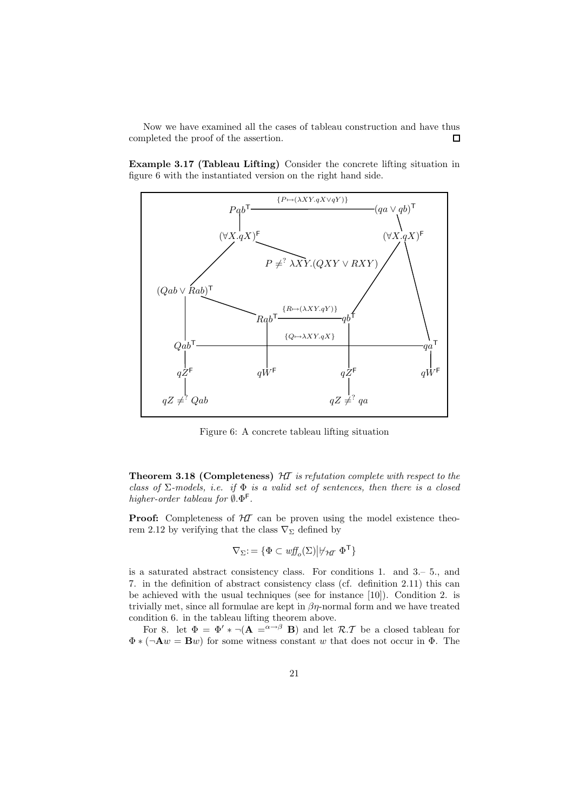Now we have examined all the cases of tableau construction and have thus completed the proof of the assertion.  $\Box$ 

Example 3.17 (Tableau Lifting) Consider the concrete lifting situation in figure 6 with the instantiated version on the right hand side.



Figure 6: A concrete tableau lifting situation

**Theorem 3.18 (Completeness)**  $H\!I$  is refutation complete with respect to the class of  $\Sigma$ -models, i.e. if  $\Phi$  is a valid set of sentences, then there is a closed higher-order tableau for  $\emptyset$ . $\Phi$ <sup>F</sup>.

**Proof:** Completeness of  $H\mathcal{T}$  can be proven using the model existence theorem 2.12 by verifying that the class  $\nabla_{\Sigma}$  defined by

$$
\nabla_{\Sigma} := \{ \Phi \subset \text{wff}_o(\Sigma) \big| \nvdash_{\mathcal{H}\mathcal{T}} \Phi^{\mathsf{T}} \}
$$

is a saturated abstract consistency class. For conditions 1. and 3.– 5., and 7. in the definition of abstract consistency class (cf. definition 2.11) this can be achieved with the usual techniques (see for instance [10]). Condition 2. is trivially met, since all formulae are kept in  $\beta\eta$ -normal form and we have treated condition 6. in the tableau lifting theorem above.

For 8. let  $\Phi = \Phi' * \neg (A = \alpha \rightarrow \beta)$  and let  $\mathcal{R} \cdot \mathcal{T}$  be a closed tableau for  $\Phi * (\neg \mathbf{A} w = \mathbf{B} w)$  for some witness constant w that does not occur in  $\Phi$ . The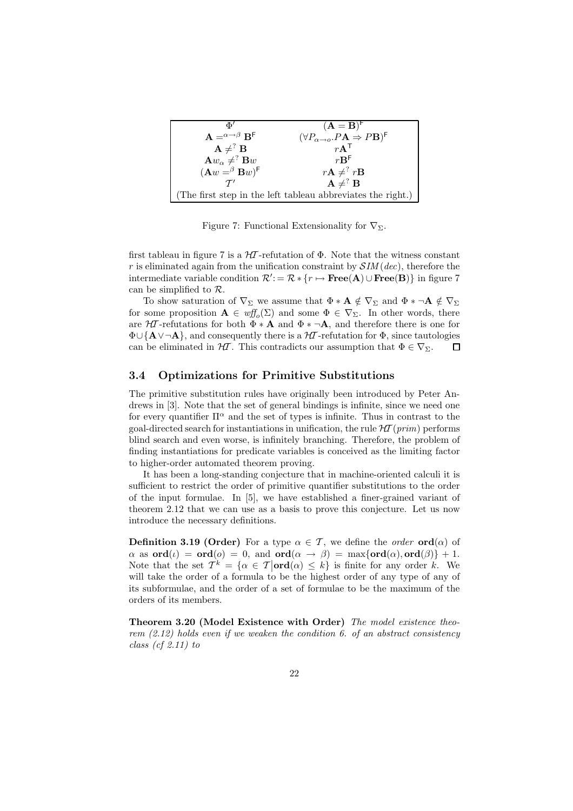| ЖΊ                                                 | $(A = B)^{r}$                                                                       |
|----------------------------------------------------|-------------------------------------------------------------------------------------|
| $A = \alpha \rightarrow \beta$ B <sup>F</sup>      | $(\forall P_{\alpha\rightarrow o}.P\mathbf{A}\Rightarrow P\mathbf{B})^{\mathsf{F}}$ |
| $\mathbf{A} \neq^? \mathbf{B}$                     | $rA$ <sup>T</sup>                                                                   |
| $\mathbf{A}w_{\alpha}\neq^? \mathbf{B}w$           | $r\mathbf{B}^{\mathsf{F}}$                                                          |
| $(\mathbf{A} w = \beta \mathbf{B} w)^{\mathsf{F}}$ | $r\mathbf{A} \neq^? r\mathbf{B}$                                                    |
| $\tau'$                                            | $\mathbf{A} \neq^? \mathbf{B}$                                                      |
|                                                    | (The first step in the left tableau abbreviates the right.)                         |

Figure 7: Functional Extensionality for  $\nabla_{\Sigma}$ .

first tableau in figure 7 is a  $H\mathcal{I}$ -refutation of  $\Phi$ . Note that the witness constant r is eliminated again from the unification constraint by  $\mathcal{S}IM(dec)$ , therefore the intermediate variable condition  $\mathcal{R}'$ : =  $\mathcal{R} * \{r \mapsto \textbf{Free}(A) \cup \textbf{Free}(B)\}\$ in figure 7 can be simplified to  $\mathcal{R}$ .

To show saturation of  $\nabla_{\Sigma}$  we assume that  $\Phi * A \notin \nabla_{\Sigma}$  and  $\Phi * \neg A \notin \nabla_{\Sigma}$ for some proposition  $\mathbf{A} \in \mathit{wff}_{o}(\Sigma)$  and some  $\Phi \in \nabla_{\Sigma}$ . In other words, there are  $H\mathcal{I}$ -refutations for both  $\Phi * A$  and  $\Phi * \neg A$ , and therefore there is one for  $\Phi \cup {\bf A} \setminus \neg {\bf A}$ , and consequently there is a  $\mathcal{H}$ -refutation for  $\Phi$ , since tautologies can be eliminated in  $H\mathcal{T}$ . This contradicts our assumption that  $\Phi \in \nabla_{\Sigma}$ .  $\Box$ 

### 3.4 Optimizations for Primitive Substitutions

The primitive substitution rules have originally been introduced by Peter Andrews in [3]. Note that the set of general bindings is infinite, since we need one for every quantifier  $\Pi^{\alpha}$  and the set of types is infinite. Thus in contrast to the goal-directed search for instantiations in unification, the rule  $H\mathcal{I}(prim)$  performs blind search and even worse, is infinitely branching. Therefore, the problem of finding instantiations for predicate variables is conceived as the limiting factor to higher-order automated theorem proving.

It has been a long-standing conjecture that in machine-oriented calculi it is sufficient to restrict the order of primitive quantifier substitutions to the order of the input formulae. In [5], we have established a finer-grained variant of theorem 2.12 that we can use as a basis to prove this conjecture. Let us now introduce the necessary definitions.

**Definition 3.19 (Order)** For a type  $\alpha \in \mathcal{T}$ , we define the *order* **ord** $(\alpha)$  of  $\alpha$  as  $\text{ord}(\iota) = \text{ord}(o) = 0$ , and  $\text{ord}(\alpha \to \beta) = \max\{\text{ord}(\alpha), \text{ord}(\beta)\} + 1$ . Note that the set  $T^k = {\alpha \in \mathcal{T} | \textbf{ord}(\alpha) \leq k}$  is finite for any order k. We will take the order of a formula to be the highest order of any type of any of its subformulae, and the order of a set of formulae to be the maximum of the orders of its members.

Theorem 3.20 (Model Existence with Order) The model existence theorem (2.12) holds even if we weaken the condition 6. of an abstract consistency class  $(cf 2.11) to$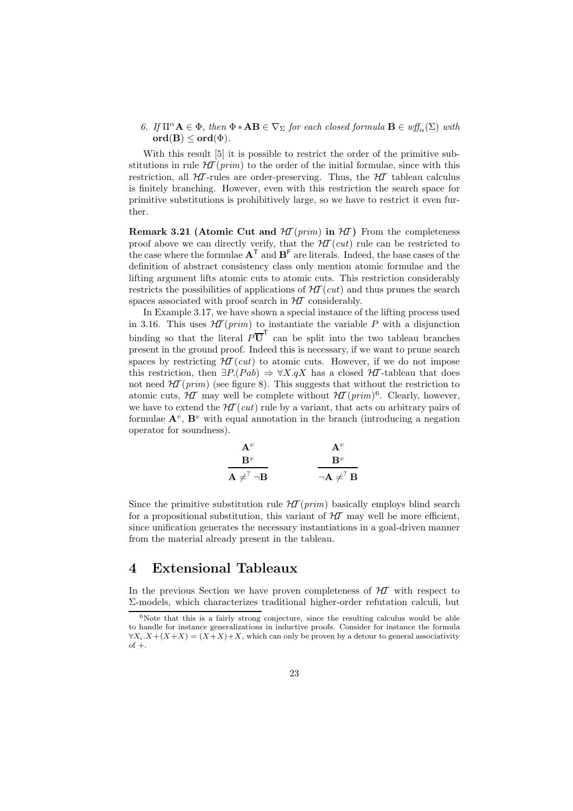### 6. If  $\Pi^{\alpha} \mathbf{A} \in \Phi$ , then  $\Phi * \mathbf{A} \mathbf{B} \in \nabla_{\Sigma}$  for each closed formula  $\mathbf{B} \in \text{wff}_{\alpha}(\Sigma)$  with  $\text{ord}(B) \leq \text{ord}(\Phi).$

With this result [5] it is possible to restrict the order of the primitive substitutions in rule  $HT(rim)$  to the order of the initial formulae, since with this restriction, all  $H\mathcal{I}$ -rules are order-preserving. Thus, the  $H\mathcal{I}$  tableau calculus is finitely branching. However, even with this restriction the search space for primitive substitutions is prohibitively large, so we have to restrict it even further.

**Remark 3.21 (Atomic Cut and**  $H(\text{prim})$  **in**  $H(\text{prim})$  From the completeness proof above we can directly verify, that the  $H\mathcal{T}(cut)$  rule can be restricted to the case where the formulae  $A^T$  and  $B^F$  are literals. Indeed, the base cases of the definition of abstract consistency class only mention atomic formulae and the lifting argument lifts atomic cuts to atomic cuts. This restriction considerably restricts the possibilities of applications of  $H\!T(cut)$  and thus prunes the search spaces associated with proof search in  $H\mathcal I$  considerably.

In Example 3.17, we have shown a special instance of the lifting process used in 3.16. This uses  $\mathcal{H}(prim)$  to instantiate the variable P with a disjunction binding so that the literal  $P\overline{U}^T$  can be split into the two tableau branches present in the ground proof. Indeed this is necessary, if we want to prune search spaces by restricting  $H\mathcal{T}(cut)$  to atomic cuts. However, if we do not impose this restriction, then  $\exists P.(Pab) \Rightarrow \forall X.qX$  has a closed  $H\mathcal{I}$ -tableau that does not need  $\mathcal{H}$  (prim) (see figure 8). This suggests that without the restriction to atomic cuts,  $H\mathcal{I}$  may well be complete without  $H\mathcal{I}(prim)^6$ . Clearly, however, we have to extend the  $H\mathcal{I}(cut)$  rule by a variant, that acts on arbitrary pairs of formulae  $\mathbf{A}^v$ ,  $\mathbf{B}^v$  with equal annotation in the branch (introducing a negation operator for soundness).

$$
\begin{array}{ccc}\n & {\bf A}^v & {\bf A}^v \\
\hline\n{\bf B}^v & & {\bf B}^v \\
{\bf A} \neq^? \neg {\bf B} & & \neg {\bf A} \neq^? {\bf B}\n\end{array}
$$

Since the primitive substitution rule  $HT(prim)$  basically employs blind search for a propositional substitution, this variant of  $H\llap{T}$  may well be more efficient, since unification generates the necessary instantiations in a goal-driven manner from the material already present in the tableau.

### 4 Extensional Tableaux

In the previous Section we have proven completeness of  $H\!T$  with respect to Σ-models, which characterizes traditional higher-order refutation calculi, but

 $6$ Note that this is a fairly strong conjecture, since the resulting calculus would be able to handle for instance generalizations in inductive proofs. Consider for instance the formula  $\forall X_t \cdot X + (X + X) = (X + X) + X$ , which can only be proven by a detour to general associativity  $of +$ .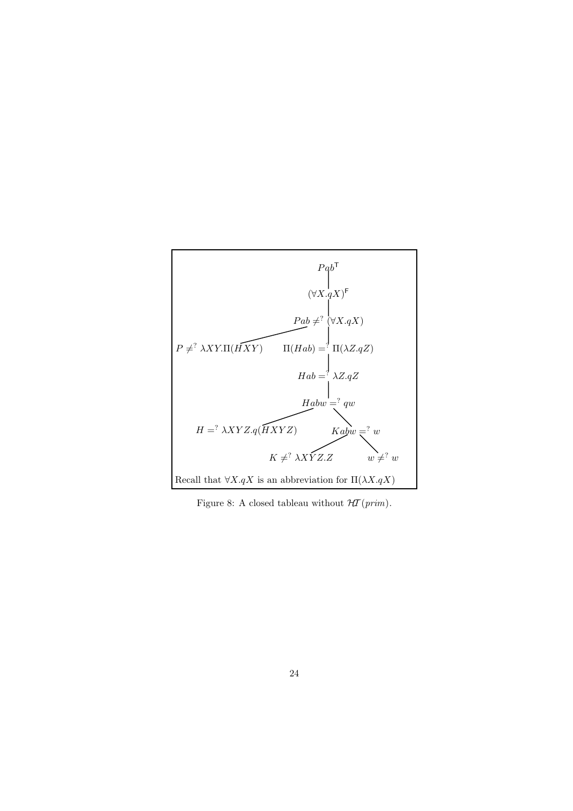

Figure 8: A closed tableau without  $H\mathcal{T}(prim)$ .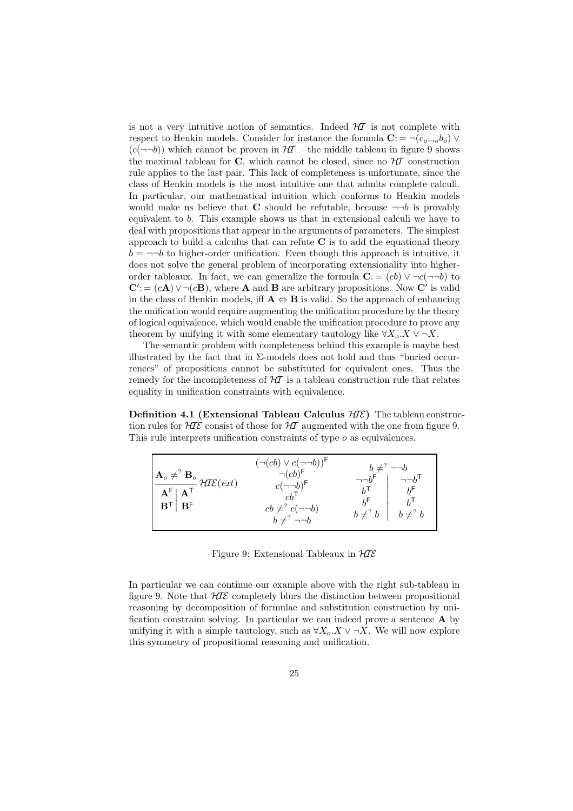is not a very intuitive notion of semantics. Indeed  $H\mathcal{I}$  is not complete with respect to Henkin models. Consider for instance the formula  $\mathbf{C}$ : = ¬ $(c_{o\rightarrow o}b_o)$   $\vee$  $(c(\neg\neg b))$  which cannot be proven in  $H\mathcal{T}$  – the middle tableau in figure 9 shows the maximal tableau for C, which cannot be closed, since no  $H\mathcal{I}$  construction rule applies to the last pair. This lack of completeness is unfortunate, since the class of Henkin models is the most intuitive one that admits complete calculi. In particular, our mathematical intuition which conforms to Henkin models would make us believe that **C** should be refutable, because  $\neg\neg b$  is provably equivalent to b. This example shows us that in extensional calculi we have to deal with propositions that appear in the arguments of parameters. The simplest approach to build a calculus that can refute  $C$  is to add the equational theory  $b = \neg \neg b$  to higher-order unification. Even though this approach is intuitive, it does not solve the general problem of incorporating extensionality into higherorder tableaux. In fact, we can generalize the formula  $\mathbf{C} = (cb) \vee \neg c(\neg \neg b)$  to  $\mathbf{C}' = (c\mathbf{A}) \vee \neg (c\mathbf{B})$ , where **A** and **B** are arbitrary propositions. Now **C**' is valid in the class of Henkin models, iff  $A \Leftrightarrow B$  is valid. So the approach of enhancing the unification would require augmenting the unification procedure by the theory of logical equivalence, which would enable the unification procedure to prove any theorem by unifying it with some elementary tautology like  $\forall X_o.X \vee \neg X$ .

The semantic problem with completeness behind this example is maybe best illustrated by the fact that in  $\Sigma$ -models does not hold and thus "buried occurrences" of propositions cannot be substituted for equivalent ones. Thus the remedy for the incompleteness of  $H\mathcal{I}$  is a tableau construction rule that relates equality in unification constraints with equivalence.

Definition 4.1 (Extensional Tableau Calculus  $H\mathcal{I}\mathcal{E}$ ) The tableau construction rules for  $H\mathcal{I}\mathcal{E}$  consist of those for  $H\mathcal{I}$  augmented with the one from figure 9. This rule interprets unification constraints of type o as equivalences.



Figure 9: Extensional Tableaux in  $H\mathcal{I}\mathcal{E}$ 

In particular we can continue our example above with the right sub-tableau in figure 9. Note that  $H\mathcal{I}E$  completely blurs the distinction between propositional reasoning by decomposition of formulae and substitution construction by unification constraint solving. In particular we can indeed prove a sentence A by unifying it with a simple tautology, such as  $\forall X_o \cdot X \lor \neg X$ . We will now explore this symmetry of propositional reasoning and unification.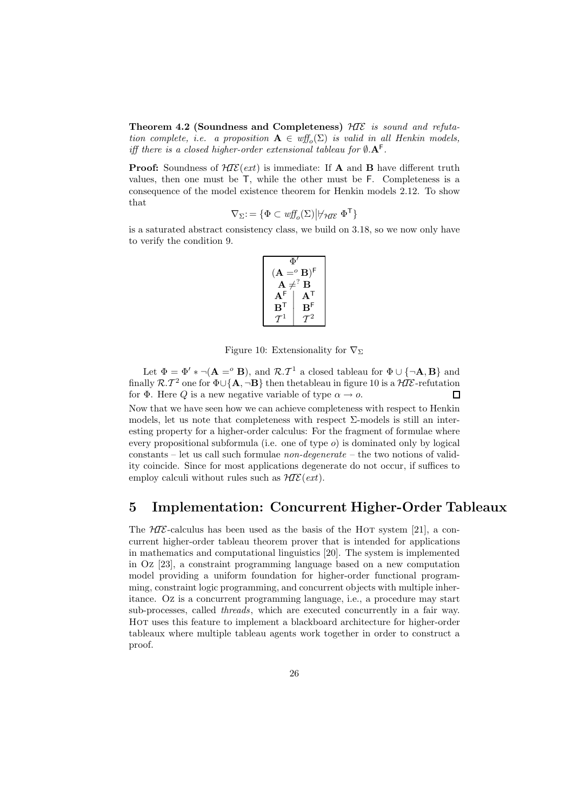Theorem 4.2 (Soundness and Completeness)  $H\mathcal{I}\mathcal{E}$  is sound and refutation complete, i.e. a proposition  $\mathbf{A} \in \text{wff}_o(\Sigma)$  is valid in all Henkin models, iff there is a closed higher-order extensional tableau for  $\emptyset$ .  $A^F$ .

**Proof:** Soundness of  $H\mathcal{IE}(ext)$  is immediate: If **A** and **B** have different truth values, then one must be T, while the other must be F. Completeness is a consequence of the model existence theorem for Henkin models 2.12. To show that

$$
\nabla_\Sigma\mathpunct{:}=\{\Phi\subset \mathit{wff}_o(\Sigma)\big|\forall \mathit{ht}\ \Phi^\mathsf{T}\}
$$

is a saturated abstract consistency class, we build on 3.18, so we now only have to verify the condition 9.

$$
\begin{array}{c}\Phi'\\[3pt] (\mathbf{A} \eqref{eq:1} \setminus \mathbf{B})^{\mathsf{F}}\\[2pt] \mathbf{A} \neq^? \mathbf{B}\\[2pt] \mathbf{A}^{\mathsf{F}}\\[2pt] \mathbf{B}^{\mathsf{T}}\\[2pt] \mathcal{T}^1 \end{array} \begin{array}{c}\Phi'\\[3pt] \mathbf{A}^{\mathsf{T}}\\[3pt] \mathbf{A}^{\mathsf{T}}\\[3pt] \mathbf{B}^{\mathsf{F}}\\[3pt] \mathcal{T}^2\end{array}
$$

Figure 10: Extensionality for  $\nabla_{\Sigma}$ 

Let  $\Phi = \Phi' * \neg (\mathbf{A} =^{\circ} \mathbf{B})$ , and  $\mathcal{R} \cdot \mathcal{T}^1$  a closed tableau for  $\Phi \cup {\neg \mathbf{A}, \mathbf{B}}$  and finally  $\mathcal{R}. \mathcal{T}^2$  one for  $\Phi \cup \{ \mathbf{A}, \neg \mathbf{B} \}$  then thetableau in figure 10 is a  $\mathcal{H I E}$ -refutation for  $\Phi$ . Here Q is a new negative variable of type  $\alpha \to o$ .  $\Box$ 

Now that we have seen how we can achieve completeness with respect to Henkin models, let us note that completeness with respect  $\Sigma$ -models is still an interesting property for a higher-order calculus: For the fragment of formulae where every propositional subformula (i.e. one of type  $o$ ) is dominated only by logical constants – let us call such formulae non-degenerate – the two notions of validity coincide. Since for most applications degenerate do not occur, if suffices to employ calculi without rules such as  $H\mathcal{I}\mathcal{E}(ext)$ .

### 5 Implementation: Concurrent Higher-Order Tableaux

The  $H\mathcal{I}\mathcal{E}$ -calculus has been used as the basis of the HOT system [21], a concurrent higher-order tableau theorem prover that is intended for applications in mathematics and computational linguistics [20]. The system is implemented in Oz [23], a constraint programming language based on a new computation model providing a uniform foundation for higher-order functional programming, constraint logic programming, and concurrent objects with multiple inheritance. Oz is a concurrent programming language, i.e., a procedure may start sub-processes, called threads, which are executed concurrently in a fair way. Hot uses this feature to implement a blackboard architecture for higher-order tableaux where multiple tableau agents work together in order to construct a proof.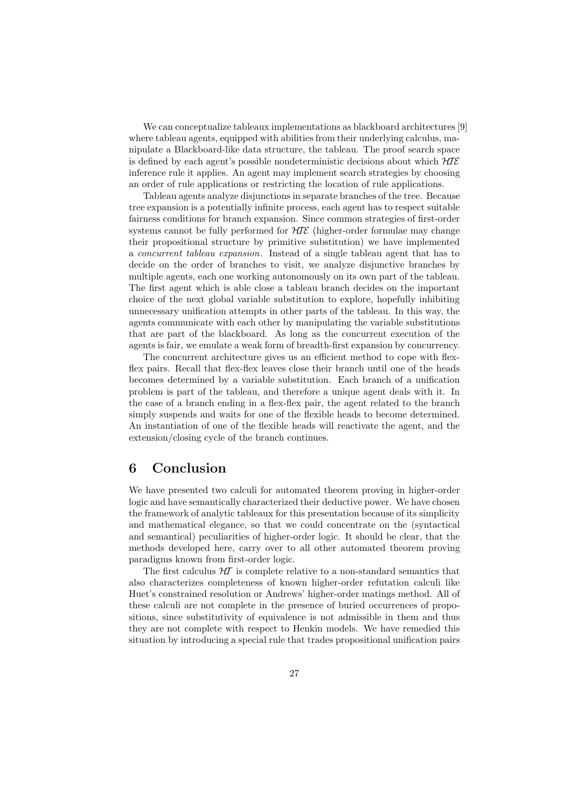We can conceptualize tableaux implementations as blackboard architectures [9] where tableau agents, equipped with abilities from their underlying calculus, manipulate a Blackboard-like data structure, the tableau. The proof search space is defined by each agent's possible nondeterministic decisions about which  $H\mathcal{I}\mathcal{E}$ inference rule it applies. An agent may implement search strategies by choosing an order of rule applications or restricting the location of rule applications.

Tableau agents analyze disjunctions in separate branches of the tree. Because tree expansion is a potentially infinite process, each agent has to respect suitable fairness conditions for branch expansion. Since common strategies of first-order systems cannot be fully performed for  $H\mathcal{I}\mathcal{E}$  (higher-order formulae may change their propositional structure by primitive substitution) we have implemented a concurrent tableau expansion. Instead of a single tableau agent that has to decide on the order of branches to visit, we analyze disjunctive branches by multiple agents, each one working autonomously on its own part of the tableau. The first agent which is able close a tableau branch decides on the important choice of the next global variable substitution to explore, hopefully inhibiting unnecessary unification attempts in other parts of the tableau. In this way, the agents communicate with each other by manipulating the variable substitutions that are part of the blackboard. As long as the concurrent execution of the agents is fair, we emulate a weak form of breadth-first expansion by concurrency.

The concurrent architecture gives us an efficient method to cope with flexflex pairs. Recall that flex-flex leaves close their branch until one of the heads becomes determined by a variable substitution. Each branch of a unification problem is part of the tableau, and therefore a unique agent deals with it. In the case of a branch ending in a flex-flex pair, the agent related to the branch simply suspends and waits for one of the flexible heads to become determined. An instantiation of one of the flexible heads will reactivate the agent, and the extension/closing cycle of the branch continues.

### 6 Conclusion

We have presented two calculi for automated theorem proving in higher-order logic and have semantically characterized their deductive power. We have chosen the framework of analytic tableaux for this presentation because of its simplicity and mathematical elegance, so that we could concentrate on the (syntactical and semantical) peculiarities of higher-order logic. It should be clear, that the methods developed here, carry over to all other automated theorem proving paradigms known from first-order logic.

The first calculus  $H\mathcal{I}$  is complete relative to a non-standard semantics that also characterizes completeness of known higher-order refutation calculi like Huet's constrained resolution or Andrews' higher-order matings method. All of these calculi are not complete in the presence of buried occurrences of propositions, since substitutivity of equivalence is not admissible in them and thus they are not complete with respect to Henkin models. We have remedied this situation by introducing a special rule that trades propositional unification pairs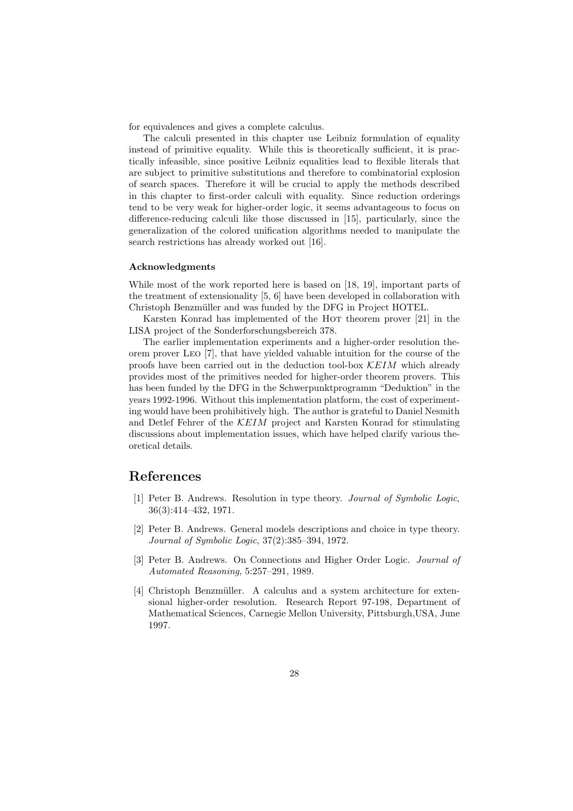for equivalences and gives a complete calculus.

The calculi presented in this chapter use Leibniz formulation of equality instead of primitive equality. While this is theoretically sufficient, it is practically infeasible, since positive Leibniz equalities lead to flexible literals that are subject to primitive substitutions and therefore to combinatorial explosion of search spaces. Therefore it will be crucial to apply the methods described in this chapter to first-order calculi with equality. Since reduction orderings tend to be very weak for higher-order logic, it seems advantageous to focus on difference-reducing calculi like those discussed in [15], particularly, since the generalization of the colored unification algorithms needed to manipulate the search restrictions has already worked out [16].

#### Acknowledgments

While most of the work reported here is based on [18, 19], important parts of the treatment of extensionality [5, 6] have been developed in collaboration with Christoph Benzmüller and was funded by the DFG in Project HOTEL.

Karsten Konrad has implemented of the Hor theorem prover [21] in the LISA project of the Sonderforschungsbereich 378.

The earlier implementation experiments and a higher-order resolution theorem prover Leo [7], that have yielded valuable intuition for the course of the proofs have been carried out in the deduction tool-box  $\mathcal{K}EIM$  which already provides most of the primitives needed for higher-order theorem provers. This has been funded by the DFG in the Schwerpunktprogramm "Deduktion" in the years 1992-1996. Without this implementation platform, the cost of experimenting would have been prohibitively high. The author is grateful to Daniel Nesmith and Detlef Fehrer of the KEIM project and Karsten Konrad for stimulating discussions about implementation issues, which have helped clarify various theoretical details.

# References

- [1] Peter B. Andrews. Resolution in type theory. Journal of Symbolic Logic, 36(3):414–432, 1971.
- [2] Peter B. Andrews. General models descriptions and choice in type theory. Journal of Symbolic Logic, 37(2):385–394, 1972.
- [3] Peter B. Andrews. On Connections and Higher Order Logic. Journal of Automated Reasoning, 5:257–291, 1989.
- [4] Christoph Benzmüller. A calculus and a system architecture for extensional higher-order resolution. Research Report 97-198, Department of Mathematical Sciences, Carnegie Mellon University, Pittsburgh,USA, June 1997.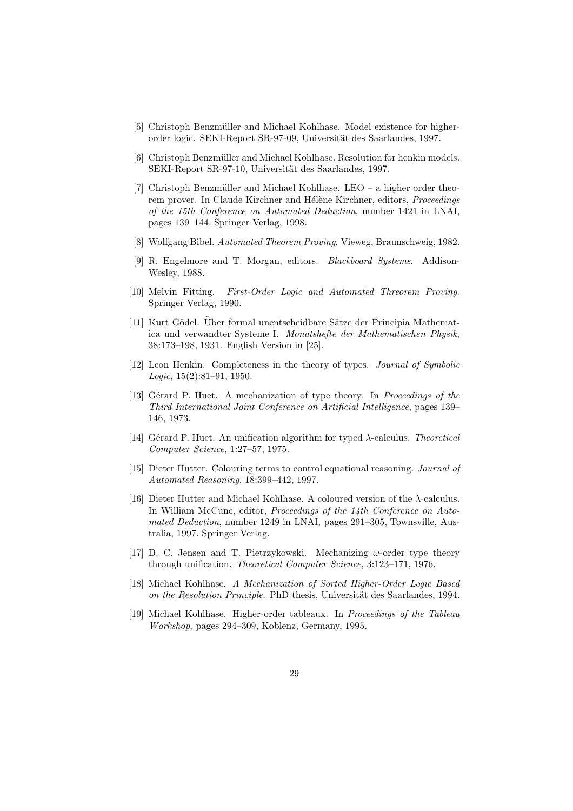- [5] Christoph Benzmüller and Michael Kohlhase. Model existence for higherorder logic. SEKI-Report SR-97-09, Universität des Saarlandes, 1997.
- [6] Christoph Benzmüller and Michael Kohlhase. Resolution for henkin models. SEKI-Report SR-97-10, Universität des Saarlandes, 1997.
- [7] Christoph Benzmüller and Michael Kohlhase. LEO a higher order theorem prover. In Claude Kirchner and Hélène Kirchner, editors, *Proceedings* of the 15th Conference on Automated Deduction, number 1421 in LNAI, pages 139–144. Springer Verlag, 1998.
- [8] Wolfgang Bibel. Automated Theorem Proving. Vieweg, Braunschweig, 1982.
- [9] R. Engelmore and T. Morgan, editors. Blackboard Systems. Addison-Wesley, 1988.
- [10] Melvin Fitting. First-Order Logic and Automated Threorem Proving. Springer Verlag, 1990.
- [11] Kurt Gödel. Über formal unentscheidbare Sätze der Principia Mathematica und verwandter Systeme I. Monatshefte der Mathematischen Physik, 38:173–198, 1931. English Version in [25].
- [12] Leon Henkin. Completeness in the theory of types. Journal of Symbolic Logic, 15(2):81–91, 1950.
- [13] Gérard P. Huet. A mechanization of type theory. In Proceedings of the Third International Joint Conference on Artificial Intelligence, pages 139– 146, 1973.
- [14] Gérard P. Huet. An unification algorithm for typed  $\lambda$ -calculus. Theoretical Computer Science, 1:27–57, 1975.
- [15] Dieter Hutter. Colouring terms to control equational reasoning. Journal of Automated Reasoning, 18:399–442, 1997.
- [16] Dieter Hutter and Michael Kohlhase. A coloured version of the λ-calculus. In William McCune, editor, Proceedings of the 14th Conference on Automated Deduction, number 1249 in LNAI, pages 291–305, Townsville, Australia, 1997. Springer Verlag.
- [17] D. C. Jensen and T. Pietrzykowski. Mechanizing  $\omega$ -order type theory through unification. Theoretical Computer Science, 3:123–171, 1976.
- [18] Michael Kohlhase. A Mechanization of Sorted Higher-Order Logic Based on the Resolution Principle. PhD thesis, Universität des Saarlandes, 1994.
- [19] Michael Kohlhase. Higher-order tableaux. In Proceedings of the Tableau Workshop, pages 294–309, Koblenz, Germany, 1995.